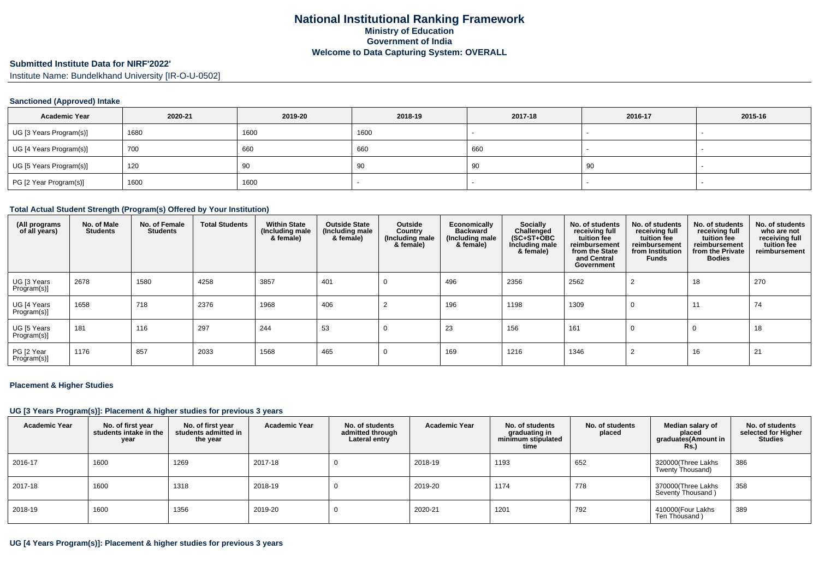### **Submitted Institute Data for NIRF'2022'**

Institute Name: Bundelkhand University [IR-O-U-0502]

### **Sanctioned (Approved) Intake**

| <b>Academic Year</b>    | 2020-21 | 2019-20 | 2018-19 | 2017-18 | 2016-17 | 2015-16                  |
|-------------------------|---------|---------|---------|---------|---------|--------------------------|
| UG [3 Years Program(s)] | 1680    | 1600    | 1600    |         |         | $\overline{\phantom{a}}$ |
| UG [4 Years Program(s)] | 700     | 660     | 660     | 660     |         |                          |
| UG [5 Years Program(s)] | 120     | -90     | 90      | -90     | 90      |                          |
| PG [2 Year Program(s)]  | 1600    | 1600    |         |         |         |                          |

### **Total Actual Student Strength (Program(s) Offered by Your Institution)**

| (All programs<br>of all years) | No. of Male<br><b>Students</b> | No. of Female<br><b>Students</b> | <b>Total Students</b> | <b>Within State</b><br>(Including male<br>& female) | <b>Outside State</b><br>(Including male<br>& female) | Outside<br>Country<br>(Including male)<br>& female) | Economically<br><b>Backward</b><br>(Including male<br>& female) | Socially<br>Challenged<br>$(SC+ST+OBC)$<br>Including male<br>& female) | No. of students<br>receiving full<br>tuition fee<br>reimbursement<br>from the State<br>and Central<br>Government | No. of students<br>receiving full<br>tuition fee<br>reimbursement<br>from Institution<br><b>Funds</b> | No. of students<br>receiving full<br>tuition fee<br>reimbursement<br>from the Private<br><b>Bodies</b> | No. of students<br>who are not<br>receiving full<br>tuition fee<br>reimbursement |
|--------------------------------|--------------------------------|----------------------------------|-----------------------|-----------------------------------------------------|------------------------------------------------------|-----------------------------------------------------|-----------------------------------------------------------------|------------------------------------------------------------------------|------------------------------------------------------------------------------------------------------------------|-------------------------------------------------------------------------------------------------------|--------------------------------------------------------------------------------------------------------|----------------------------------------------------------------------------------|
| UG [3 Years<br>Program(s)]     | 2678                           | 1580                             | 4258                  | 3857                                                | 401                                                  | 0                                                   | 496                                                             | 2356                                                                   | 2562                                                                                                             |                                                                                                       | 18                                                                                                     | 270                                                                              |
| UG [4 Years<br>Program(s)]     | 1658                           | 718                              | 2376                  | 1968                                                | 406                                                  |                                                     | 196                                                             | 1198                                                                   | 1309                                                                                                             | 0                                                                                                     | 11                                                                                                     | 74                                                                               |
| UG [5 Years<br>Program(s)]     | 181                            | 116                              | 297                   | 244                                                 | 53                                                   | 0                                                   | 23                                                              | 156                                                                    | 161                                                                                                              | 0                                                                                                     | 0                                                                                                      | 18                                                                               |
| PG [2 Year<br>Program(s)]      | 1176                           | 857                              | 2033                  | 1568                                                | 465                                                  | 0                                                   | 169                                                             | 1216                                                                   | 1346                                                                                                             |                                                                                                       | 16                                                                                                     | 21                                                                               |

#### **Placement & Higher Studies**

#### **UG [3 Years Program(s)]: Placement & higher studies for previous 3 years**

| <b>Academic Year</b> | No. of first year<br>students intake in the<br>year | No. of first vear<br>students admitted in<br>the year | <b>Academic Year</b> | No. of students<br>admitted through<br>Lateral entry | <b>Academic Year</b> | No. of students<br>graduating in<br>minimum stipulated<br>time | No. of students<br>placed | Median salary of<br>placed<br>graduates(Amount in<br><b>Rs.)</b> | No. of students<br>selected for Higher<br><b>Studies</b> |
|----------------------|-----------------------------------------------------|-------------------------------------------------------|----------------------|------------------------------------------------------|----------------------|----------------------------------------------------------------|---------------------------|------------------------------------------------------------------|----------------------------------------------------------|
| 2016-17              | 1600                                                | 1269                                                  | 2017-18              |                                                      | 2018-19              | 1193                                                           | 652                       | 320000(Three Lakhs<br>Twenty Thousand)                           | 386                                                      |
| 2017-18              | 1600                                                | 1318                                                  | 2018-19              |                                                      | 2019-20              | 1174                                                           | 778                       | 370000(Three Lakhs<br>Seventy Thousand)                          | 358                                                      |
| 2018-19              | 1600                                                | 1356                                                  | 2019-20              |                                                      | 2020-21              | 1201                                                           | 792                       | 410000(Four Lakhs<br>Ten Thousand)                               | 389                                                      |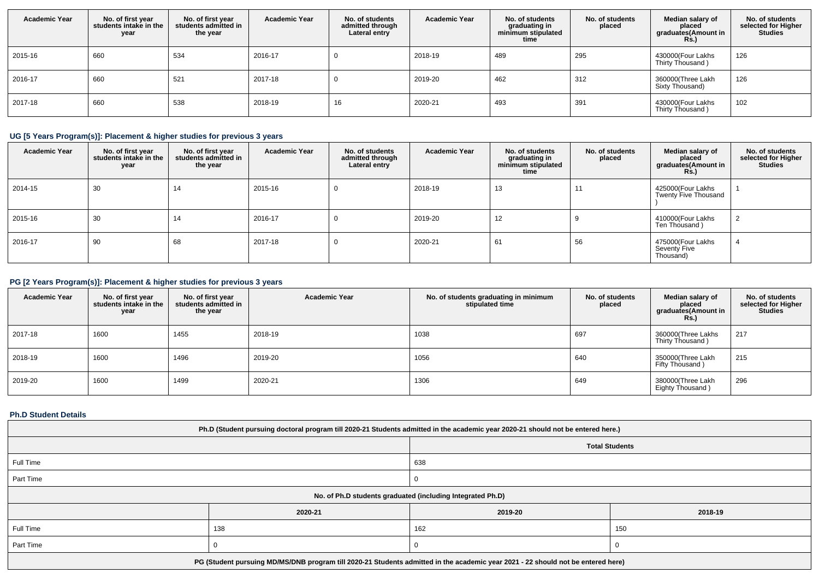| <b>Academic Year</b> | No. of first year<br>students intake in the<br>year | No. of first year<br>students admitted in<br>the year | <b>Academic Year</b> | No. of students<br>admitted through<br>Lateral entry | <b>Academic Year</b> | No. of students<br>graduating in<br>minimum stipulated<br>time | No. of students<br>placed | Median salary of<br>placed<br>graduates(Amount in<br><b>Rs.)</b> | No. of students<br>selected for Higher<br><b>Studies</b> |
|----------------------|-----------------------------------------------------|-------------------------------------------------------|----------------------|------------------------------------------------------|----------------------|----------------------------------------------------------------|---------------------------|------------------------------------------------------------------|----------------------------------------------------------|
| 2015-16              | 660                                                 | 534                                                   | 2016-17              |                                                      | 2018-19              | 489                                                            | 295                       | 430000(Four Lakhs<br>Thirty Thousand)                            | 126                                                      |
| 2016-17              | 660                                                 | 521                                                   | 2017-18              |                                                      | 2019-20              | 462                                                            | 312                       | 360000(Three Lakh<br>Sixty Thousand)                             | 126                                                      |
| 2017-18              | 660                                                 | 538                                                   | 2018-19              | 16                                                   | 2020-21              | 493                                                            | 391                       | 430000(Four Lakhs<br>Thirty Thousand)                            | 102                                                      |

# **UG [5 Years Program(s)]: Placement & higher studies for previous 3 years**

| <b>Academic Year</b> | No. of first year<br>students intake in the<br>year | No. of first year<br>students admitted in<br>the year | <b>Academic Year</b> | No. of students<br>admitted through<br>Lateral entry | <b>Academic Year</b> | No. of students<br>graduating in<br>minimum stipulated<br>time | No. of students<br>placed | Median salary of<br>placed<br>graduates(Amount in<br><b>Rs.</b> ) | No. of students<br>selected for Higher<br><b>Studies</b> |
|----------------------|-----------------------------------------------------|-------------------------------------------------------|----------------------|------------------------------------------------------|----------------------|----------------------------------------------------------------|---------------------------|-------------------------------------------------------------------|----------------------------------------------------------|
| 2014-15              | 30                                                  | 14                                                    | 2015-16              | 0                                                    | 2018-19              | 13                                                             |                           | 425000(Four Lakhs<br>Twenty Five Thousand                         |                                                          |
| 2015-16              | 30                                                  | 14                                                    | 2016-17              | $\mathbf{0}$                                         | 2019-20              | 12                                                             |                           | 410000(Four Lakhs<br>Ten Thousand)                                | $\overline{2}$                                           |
| 2016-17              | 90                                                  | 68                                                    | 2017-18              | 0                                                    | 2020-21              | 61                                                             | 56                        | 475000(Four Lakhs<br>Seventy Five<br>Thousand)                    | $\overline{a}$                                           |

# **PG [2 Years Program(s)]: Placement & higher studies for previous 3 years**

| <b>Academic Year</b> | No. of first year<br>students intake in the<br>year | No. of first year<br>students admitted in<br>the year | <b>Academic Year</b> | No. of students graduating in minimum<br>stipulated time | No. of students<br>placed | Median salary of<br>placed<br>graduates(Amount in<br><b>Rs.)</b> | No. of students<br>selected for Higher<br><b>Studies</b> |
|----------------------|-----------------------------------------------------|-------------------------------------------------------|----------------------|----------------------------------------------------------|---------------------------|------------------------------------------------------------------|----------------------------------------------------------|
| 2017-18              | 1600                                                | 1455                                                  | 2018-19              | 1038                                                     | 697                       | 360000(Three Lakhs<br>Thirty Thousand)                           | 217                                                      |
| 2018-19              | 1600                                                | 1496                                                  | 2019-20              | 1056                                                     | 640                       | 350000(Three Lakh<br>Fifty Thousand)                             | 215                                                      |
| 2019-20              | 1600                                                | 1499                                                  | 2020-21              | 1306                                                     | 649                       | 380000(Three Lakh<br>Eighty Thousand)                            | 296                                                      |

### **Ph.D Student Details**

| Ph.D (Student pursuing doctoral program till 2020-21 Students admitted in the academic year 2020-21 should not be entered here.) |                                                            |         |         |  |  |  |
|----------------------------------------------------------------------------------------------------------------------------------|------------------------------------------------------------|---------|---------|--|--|--|
| <b>Total Students</b>                                                                                                            |                                                            |         |         |  |  |  |
| Full Time                                                                                                                        |                                                            |         |         |  |  |  |
| Part Time                                                                                                                        |                                                            |         |         |  |  |  |
|                                                                                                                                  | No. of Ph.D students graduated (including Integrated Ph.D) |         |         |  |  |  |
|                                                                                                                                  | 2020-21                                                    | 2019-20 | 2018-19 |  |  |  |
| Full Time                                                                                                                        | 138                                                        | 162     | 150     |  |  |  |
| Part Time                                                                                                                        |                                                            |         |         |  |  |  |
| PG (Student pursuing MD/MS/DNB program till 2020-21 Students admitted in the academic year 2021 - 22 should not be entered here) |                                                            |         |         |  |  |  |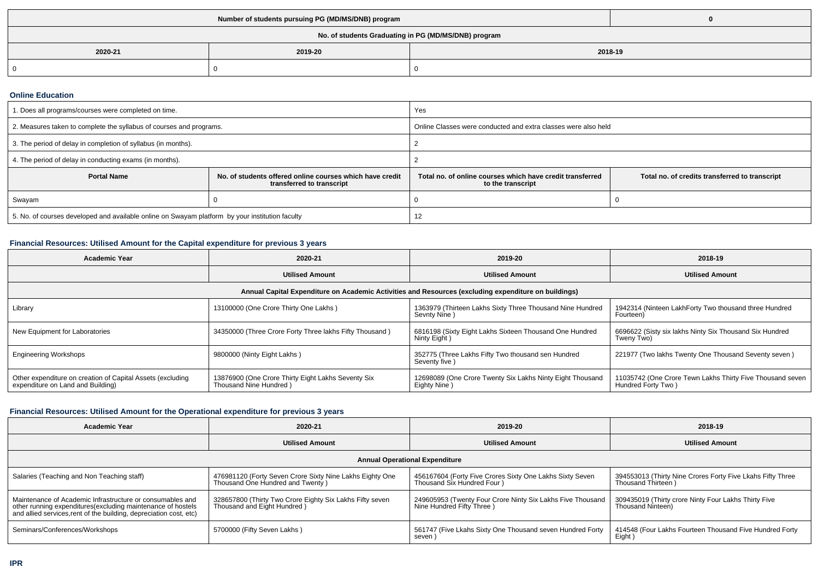| No. of students Graduating in PG (MD/MS/DNB) program |         |         |  |  |  |  |
|------------------------------------------------------|---------|---------|--|--|--|--|
| 2020-21                                              | 2019-20 | 2018-19 |  |  |  |  |
|                                                      |         |         |  |  |  |  |

### **Online Education**

| . Does all programs/courses were completed on time.                                             |                                                                                       | Yes                                                                            |                                                |  |
|-------------------------------------------------------------------------------------------------|---------------------------------------------------------------------------------------|--------------------------------------------------------------------------------|------------------------------------------------|--|
| 2. Measures taken to complete the syllabus of courses and programs.                             |                                                                                       | Online Classes were conducted and extra classes were also held                 |                                                |  |
| 3. The period of delay in completion of syllabus (in months).                                   |                                                                                       |                                                                                |                                                |  |
| 4. The period of delay in conducting exams (in months).                                         |                                                                                       |                                                                                |                                                |  |
| <b>Portal Name</b>                                                                              | No. of students offered online courses which have credit<br>transferred to transcript | Total no, of online courses which have credit transferred<br>to the transcript | Total no. of credits transferred to transcript |  |
| Swayam                                                                                          |                                                                                       |                                                                                |                                                |  |
| 5. No. of courses developed and available online on Swayam platform by your institution faculty |                                                                                       |                                                                                |                                                |  |

# **Financial Resources: Utilised Amount for the Capital expenditure for previous 3 years**

| Academic Year                                                                                        | 2020-21                                                                      | 2019-20                                                                   | 2018-19                                                                         |  |  |  |  |  |
|------------------------------------------------------------------------------------------------------|------------------------------------------------------------------------------|---------------------------------------------------------------------------|---------------------------------------------------------------------------------|--|--|--|--|--|
|                                                                                                      | <b>Utilised Amount</b>                                                       | <b>Utilised Amount</b>                                                    | <b>Utilised Amount</b>                                                          |  |  |  |  |  |
| Annual Capital Expenditure on Academic Activities and Resources (excluding expenditure on buildings) |                                                                              |                                                                           |                                                                                 |  |  |  |  |  |
| Library                                                                                              | 13100000 (One Crore Thirty One Lakhs)                                        | 1363979 (Thirteen Lakhs Sixty Three Thousand Nine Hundred<br>Sevnty Nine) | 1942314 (Ninteen LakhForty Two thousand three Hundred<br>Fourteen)              |  |  |  |  |  |
| New Equipment for Laboratories                                                                       | 34350000 (Three Crore Forty Three lakhs Fifty Thousand)                      | 6816198 (Sixty Eight Lakhs Sixteen Thousand One Hundred<br>Ninty Eight)   | 6696622 (Sisty six lakhs Ninty Six Thousand Six Hundred<br>Tweny Two)           |  |  |  |  |  |
| <b>Engineering Workshops</b>                                                                         | 9800000 (Ninty Eight Lakhs)                                                  | 352775 (Three Lakhs Fifty Two thousand sen Hundred<br>Seventy five)       | 221977 (Two lakhs Twenty One Thousand Seventy seven)                            |  |  |  |  |  |
| Other expenditure on creation of Capital Assets (excluding<br>expenditure on Land and Building)      | 13876900 (One Crore Thirty Eight Lakhs Seventy Six<br>Thousand Nine Hundred) | 12698089 (One Crore Twenty Six Lakhs Ninty Eight Thousand<br>Eighty Nine) | 11035742 (One Crore Tewn Lakhs Thirty Five Thousand seven<br>Hundred Forty Two) |  |  |  |  |  |

# **Financial Resources: Utilised Amount for the Operational expenditure for previous 3 years**

| Academic Year                                                                                                                                                                                   | 2020-21                                                                                      | 2019-20                                                                                 | 2018-19                                                                          |  |  |  |  |  |
|-------------------------------------------------------------------------------------------------------------------------------------------------------------------------------------------------|----------------------------------------------------------------------------------------------|-----------------------------------------------------------------------------------------|----------------------------------------------------------------------------------|--|--|--|--|--|
|                                                                                                                                                                                                 | <b>Utilised Amount</b>                                                                       | <b>Utilised Amount</b>                                                                  | <b>Utilised Amount</b>                                                           |  |  |  |  |  |
| <b>Annual Operational Expenditure</b>                                                                                                                                                           |                                                                                              |                                                                                         |                                                                                  |  |  |  |  |  |
| Salaries (Teaching and Non Teaching staff)                                                                                                                                                      | 476981120 (Forty Seven Crore Sixty Nine Lakhs Eighty One<br>Thousand One Hundred and Twenty) | 456167604 (Forty Five Crores Sixty One Lakhs Sixty Seven<br>Thousand Six Hundred Four ) | 394553013 (Thirty Nine Crores Forty Five Lkahs Fifty Three<br>Thousand Thirteen) |  |  |  |  |  |
| Maintenance of Academic Infrastructure or consumables and<br>other running expenditures (excluding maintenance of hostels<br>and allied services, rent of the building, depreciation cost, etc) | 328657800 (Thirty Two Crore Eighty Six Lakhs Fifty seven<br>Thousand and Eight Hundred)      | 249605953 (Twenty Four Crore Ninty Six Lakhs Five Thousand<br>Nine Hundred Fifty Three) | 309435019 (Thirty crore Ninty Four Lakhs Thirty Five<br>Thousand Ninteen)        |  |  |  |  |  |
| Seminars/Conferences/Workshops                                                                                                                                                                  | 5700000 (Fifty Seven Lakhs)                                                                  | 561747 (Five Lkahs Sixty One Thousand seven Hundred Forty<br>seven)                     | 414548 (Four Lakhs Fourteen Thousand Five Hundred Forty<br>Eight)                |  |  |  |  |  |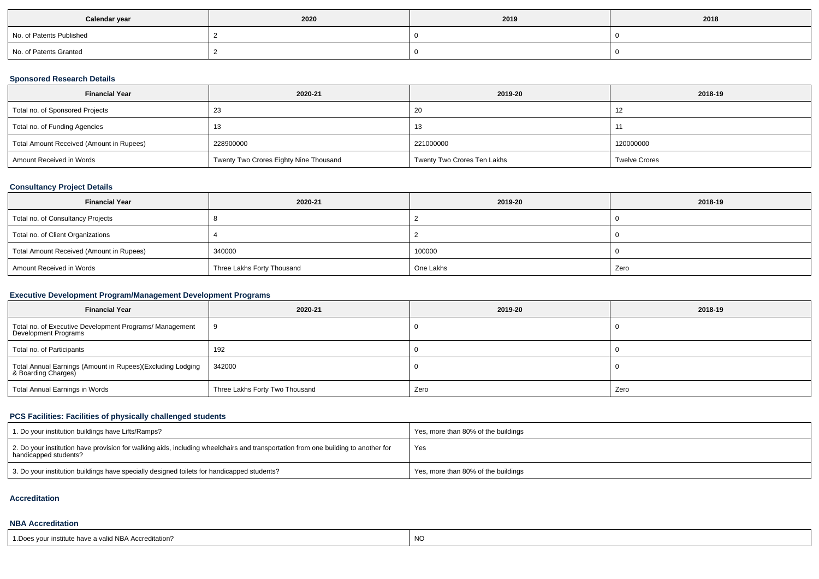| Calendar year            | 2020 | 2019 | 2018 |
|--------------------------|------|------|------|
| No. of Patents Published |      |      |      |
| No. of Patents Granted   |      |      |      |

# **Sponsored Research Details**

| <b>Financial Year</b>                    | 2020-21                                | 2019-20                     | 2018-19              |
|------------------------------------------|----------------------------------------|-----------------------------|----------------------|
| Total no. of Sponsored Projects          | 23                                     | 20                          | -12                  |
| Total no. of Funding Agencies            |                                        | 13                          |                      |
| Total Amount Received (Amount in Rupees) | 228900000                              | 221000000                   | 120000000            |
| Amount Received in Words                 | Twenty Two Crores Eighty Nine Thousand | Twenty Two Crores Ten Lakhs | <b>Twelve Crores</b> |

# **Consultancy Project Details**

| <b>Financial Year</b>                    | 2020-21                    | 2019-20   | 2018-19 |
|------------------------------------------|----------------------------|-----------|---------|
| Total no. of Consultancy Projects        |                            |           |         |
| Total no. of Client Organizations        |                            |           |         |
| Total Amount Received (Amount in Rupees) | 340000                     | 100000    |         |
| Amount Received in Words                 | Three Lakhs Forty Thousand | One Lakhs | Zero    |

# **Executive Development Program/Management Development Programs**

| <b>Financial Year</b>                                                            | 2020-21                        | 2019-20 | 2018-19 |
|----------------------------------------------------------------------------------|--------------------------------|---------|---------|
| Total no. of Executive Development Programs/ Management<br>Development Programs  |                                |         |         |
| Total no. of Participants                                                        | 192                            |         |         |
| Total Annual Earnings (Amount in Rupees)(Excluding Lodging<br>& Boarding Charges | 342000                         |         |         |
| Total Annual Earnings in Words                                                   | Three Lakhs Forty Two Thousand | Zero    | Zero    |

# **PCS Facilities: Facilities of physically challenged students**

| 1. Do your institution buildings have Lifts/Ramps?                                                                                                         | Yes, more than 80% of the buildings |
|------------------------------------------------------------------------------------------------------------------------------------------------------------|-------------------------------------|
| 2. Do your institution have provision for walking aids, including wheelchairs and transportation from one building to another for<br>handicapped students? | Yes                                 |
| 3. Do your institution buildings have specially designed toilets for handicapped students?                                                                 | Yes, more than 80% of the buildings |

### **Accreditation**

### **NBA Accreditation**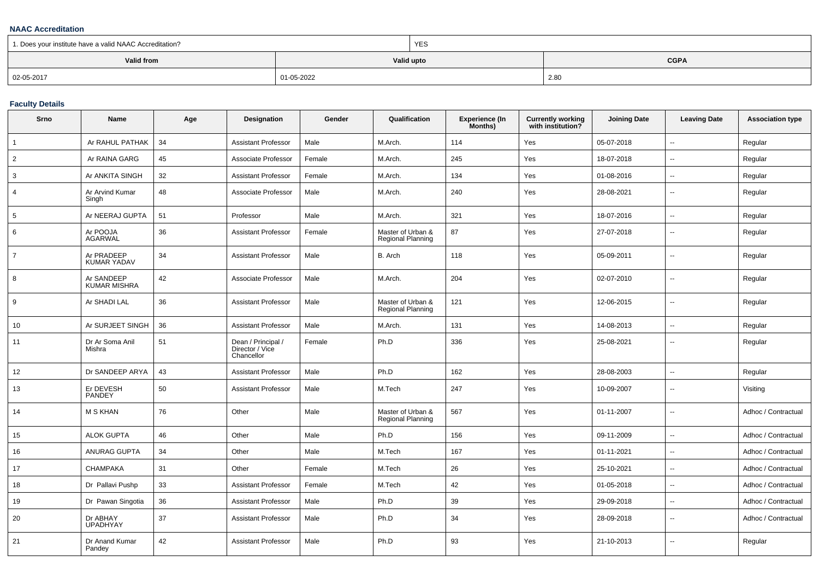### **NAAC Accreditation**

| 1. Does your institute have a valid NAAC Accreditation? |            | YES                       |      |  |  |  |
|---------------------------------------------------------|------------|---------------------------|------|--|--|--|
| Valid from                                              |            | Valid upto<br><b>CGPA</b> |      |  |  |  |
| 02-05-2017                                              | 01-05-2022 |                           | 2.80 |  |  |  |

### **Faculty Details**

| Srno            | Name                              | Age | Designation                                         | Gender | Qualification                          | <b>Experience (In</b><br>Months) | <b>Currently working</b><br>with institution? | <b>Joining Date</b> | <b>Leaving Date</b>      | <b>Association type</b> |
|-----------------|-----------------------------------|-----|-----------------------------------------------------|--------|----------------------------------------|----------------------------------|-----------------------------------------------|---------------------|--------------------------|-------------------------|
| $\overline{1}$  | Ar RAHUL PATHAK                   | 34  | <b>Assistant Professor</b>                          | Male   | M.Arch.                                | 114                              | Yes                                           | 05-07-2018          | $\overline{\phantom{a}}$ | Regular                 |
| 2               | Ar RAINA GARG                     | 45  | Associate Professor                                 | Female | M.Arch.                                | 245                              | Yes                                           | 18-07-2018          | $\sim$                   | Regular                 |
| 3               | Ar ANKITA SINGH                   | 32  | <b>Assistant Professor</b>                          | Female | M.Arch.                                | 134                              | Yes                                           | 01-08-2016          | $\overline{\phantom{a}}$ | Regular                 |
| $\overline{4}$  | Ar Arvind Kumar<br>Singh          | 48  | Associate Professor                                 | Male   | M.Arch.                                | 240                              | Yes                                           | 28-08-2021          | $\overline{\phantom{a}}$ | Regular                 |
| $5\overline{5}$ | Ar NEERAJ GUPTA                   | 51  | Professor                                           | Male   | M.Arch.                                | 321                              | Yes                                           | 18-07-2016          | $\sim$                   | Regular                 |
| 6               | Ar POOJA<br><b>AGARWAL</b>        | 36  | Assistant Professor                                 | Female | Master of Urban &<br>Regional Planning | 87                               | Yes                                           | 27-07-2018          | $\overline{\phantom{a}}$ | Regular                 |
| $\overline{7}$  | Ar PRADEEP<br><b>KUMAR YADAV</b>  | 34  | <b>Assistant Professor</b>                          | Male   | B. Arch                                | 118                              | Yes                                           | 05-09-2011          | $\sim$                   | Regular                 |
| 8               | Ar SANDEEP<br><b>KUMAR MISHRA</b> | 42  | Associate Professor                                 | Male   | M.Arch.                                | 204                              | Yes                                           | 02-07-2010          | $\mathbf{u}$             | Regular                 |
| 9               | Ar SHADI LAL                      | 36  | <b>Assistant Professor</b>                          | Male   | Master of Urban &<br>Regional Planning | 121                              | Yes                                           | 12-06-2015          | $\mathbf{u}$             | Regular                 |
| 10              | Ar SURJEET SINGH                  | 36  | <b>Assistant Professor</b>                          | Male   | M.Arch.                                | 131                              | Yes                                           | 14-08-2013          | $\overline{\phantom{a}}$ | Regular                 |
| 11              | Dr Ar Soma Anil<br>Mishra         | 51  | Dean / Principal /<br>Director / Vice<br>Chancellor | Female | Ph.D                                   | 336                              | Yes                                           | 25-08-2021          | $\sim$                   | Regular                 |
| 12              | Dr SANDEEP ARYA                   | 43  | Assistant Professor                                 | Male   | Ph.D                                   | 162                              | Yes                                           | 28-08-2003          | $\overline{\phantom{a}}$ | Regular                 |
| 13              | Er DEVESH<br><b>PANDEY</b>        | 50  | <b>Assistant Professor</b>                          | Male   | M.Tech                                 | 247                              | Yes                                           | 10-09-2007          | $\overline{\phantom{a}}$ | Visiting                |
| 14              | <b>M S KHAN</b>                   | 76  | Other                                               | Male   | Master of Urban &<br>Regional Planning | 567                              | Yes                                           | 01-11-2007          | $\mathbf{u}$             | Adhoc / Contractual     |
| 15              | <b>ALOK GUPTA</b>                 | 46  | Other                                               | Male   | Ph.D                                   | 156                              | Yes                                           | 09-11-2009          | $\mathbf{u}$             | Adhoc / Contractual     |
| 16              | <b>ANURAG GUPTA</b>               | 34  | Other                                               | Male   | M.Tech                                 | 167                              | Yes                                           | 01-11-2021          | $\overline{\phantom{a}}$ | Adhoc / Contractual     |
| 17              | <b>CHAMPAKA</b>                   | 31  | Other                                               | Female | M.Tech                                 | 26                               | Yes                                           | 25-10-2021          | $\sim$                   | Adhoc / Contractual     |
| 18              | Dr Pallavi Pushp                  | 33  | <b>Assistant Professor</b>                          | Female | M.Tech                                 | 42                               | Yes                                           | 01-05-2018          | $\sim$                   | Adhoc / Contractual     |
| 19              | Dr Pawan Singotia                 | 36  | Assistant Professor                                 | Male   | Ph.D                                   | 39                               | Yes                                           | 29-09-2018          | $\overline{\phantom{a}}$ | Adhoc / Contractual     |
| 20              | Dr ABHAY<br><b>UPADHYAY</b>       | 37  | <b>Assistant Professor</b>                          | Male   | Ph.D                                   | 34                               | Yes                                           | 28-09-2018          | $\overline{\phantom{a}}$ | Adhoc / Contractual     |
| 21              | Dr Anand Kumar<br>Pandey          | 42  | <b>Assistant Professor</b>                          | Male   | Ph.D                                   | 93                               | Yes                                           | 21-10-2013          | $\overline{\phantom{a}}$ | Regular                 |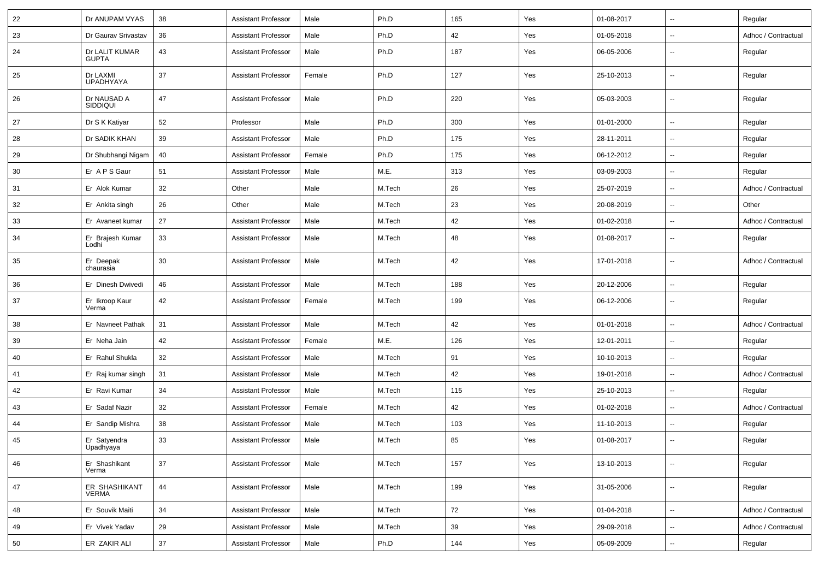| 22 | Dr ANUPAM VYAS                 | 38 | <b>Assistant Professor</b> | Male   | Ph.D   | 165 | Yes | 01-08-2017 | $\overline{\phantom{a}}$ | Regular             |
|----|--------------------------------|----|----------------------------|--------|--------|-----|-----|------------|--------------------------|---------------------|
| 23 | Dr Gaurav Srivastav            | 36 | <b>Assistant Professor</b> | Male   | Ph.D   | 42  | Yes | 01-05-2018 | $\sim$                   | Adhoc / Contractual |
| 24 | Dr LALIT KUMAR<br><b>GUPTA</b> | 43 | <b>Assistant Professor</b> | Male   | Ph.D   | 187 | Yes | 06-05-2006 | $\overline{\phantom{a}}$ | Regular             |
| 25 | Dr LAXMI<br><b>UPADHYAYA</b>   | 37 | <b>Assistant Professor</b> | Female | Ph.D   | 127 | Yes | 25-10-2013 | $\overline{\phantom{a}}$ | Regular             |
| 26 | Dr NAUSAD A<br><b>SIDDIQUI</b> | 47 | <b>Assistant Professor</b> | Male   | Ph.D   | 220 | Yes | 05-03-2003 | $\overline{\phantom{a}}$ | Regular             |
| 27 | Dr S K Katiyar                 | 52 | Professor                  | Male   | Ph.D   | 300 | Yes | 01-01-2000 | $\overline{\phantom{a}}$ | Regular             |
| 28 | Dr SADIK KHAN                  | 39 | <b>Assistant Professor</b> | Male   | Ph.D   | 175 | Yes | 28-11-2011 | $\overline{\phantom{a}}$ | Regular             |
| 29 | Dr Shubhangi Nigam             | 40 | <b>Assistant Professor</b> | Female | Ph.D   | 175 | Yes | 06-12-2012 | $\overline{\phantom{a}}$ | Regular             |
| 30 | Er A P S Gaur                  | 51 | <b>Assistant Professor</b> | Male   | M.E.   | 313 | Yes | 03-09-2003 | $\overline{\phantom{a}}$ | Regular             |
| 31 | Er Alok Kumar                  | 32 | Other                      | Male   | M.Tech | 26  | Yes | 25-07-2019 | $\overline{\phantom{a}}$ | Adhoc / Contractual |
| 32 | Er Ankita singh                | 26 | Other                      | Male   | M.Tech | 23  | Yes | 20-08-2019 | $\overline{\phantom{a}}$ | Other               |
| 33 | Er Avaneet kumar               | 27 | <b>Assistant Professor</b> | Male   | M.Tech | 42  | Yes | 01-02-2018 | $\overline{\phantom{a}}$ | Adhoc / Contractual |
| 34 | Er Brajesh Kumar<br>Lodhi      | 33 | <b>Assistant Professor</b> | Male   | M.Tech | 48  | Yes | 01-08-2017 | $\overline{\phantom{a}}$ | Regular             |
| 35 | Er Deepak<br>chaurasia         | 30 | <b>Assistant Professor</b> | Male   | M.Tech | 42  | Yes | 17-01-2018 | $\overline{\phantom{a}}$ | Adhoc / Contractual |
| 36 | Er Dinesh Dwivedi              | 46 | <b>Assistant Professor</b> | Male   | M.Tech | 188 | Yes | 20-12-2006 | $\overline{\phantom{a}}$ | Regular             |
| 37 | Er Ikroop Kaur<br>Verma        | 42 | <b>Assistant Professor</b> | Female | M.Tech | 199 | Yes | 06-12-2006 | $\overline{\phantom{a}}$ | Regular             |
| 38 | Er Navneet Pathak              | 31 | <b>Assistant Professor</b> | Male   | M.Tech | 42  | Yes | 01-01-2018 | $\overline{\phantom{a}}$ | Adhoc / Contractual |
| 39 | Er Neha Jain                   | 42 | <b>Assistant Professor</b> | Female | M.E.   | 126 | Yes | 12-01-2011 | $\overline{\phantom{a}}$ | Regular             |
| 40 | Er Rahul Shukla                | 32 | <b>Assistant Professor</b> | Male   | M.Tech | 91  | Yes | 10-10-2013 | $\overline{\phantom{a}}$ | Regular             |
| 41 | Er Raj kumar singh             | 31 | <b>Assistant Professor</b> | Male   | M.Tech | 42  | Yes | 19-01-2018 | $\overline{\phantom{a}}$ | Adhoc / Contractual |
| 42 | Er Ravi Kumar                  | 34 | <b>Assistant Professor</b> | Male   | M.Tech | 115 | Yes | 25-10-2013 | $\overline{\phantom{a}}$ | Regular             |
| 43 | Er Sadaf Nazir                 | 32 | <b>Assistant Professor</b> | Female | M.Tech | 42  | Yes | 01-02-2018 | $\overline{\phantom{a}}$ | Adhoc / Contractual |
| 44 | Er Sandip Mishra               | 38 | <b>Assistant Professor</b> | Male   | M.Tech | 103 | Yes | 11-10-2013 | $\overline{\phantom{a}}$ | Regular             |
| 45 | Er Satyendra<br>Upadhyaya      | 33 | <b>Assistant Professor</b> | Male   | M.Tech | 85  | Yes | 01-08-2017 | $\mathbf{u}$             | Regular             |
| 46 | Er Shashikant<br>Verma         | 37 | <b>Assistant Professor</b> | Male   | M.Tech | 157 | Yes | 13-10-2013 | Ξ.                       | Regular             |
| 47 | ER SHASHIKANT<br><b>VERMA</b>  | 44 | <b>Assistant Professor</b> | Male   | M.Tech | 199 | Yes | 31-05-2006 | $\overline{\phantom{a}}$ | Regular             |
| 48 | Er Souvik Maiti                | 34 | <b>Assistant Professor</b> | Male   | M.Tech | 72  | Yes | 01-04-2018 | $\overline{\phantom{a}}$ | Adhoc / Contractual |
| 49 | Er Vivek Yadav                 | 29 | Assistant Professor        | Male   | M.Tech | 39  | Yes | 29-09-2018 | ۰.                       | Adhoc / Contractual |
| 50 | ER ZAKIR ALI                   | 37 | <b>Assistant Professor</b> | Male   | Ph.D   | 144 | Yes | 05-09-2009 | ۰.                       | Regular             |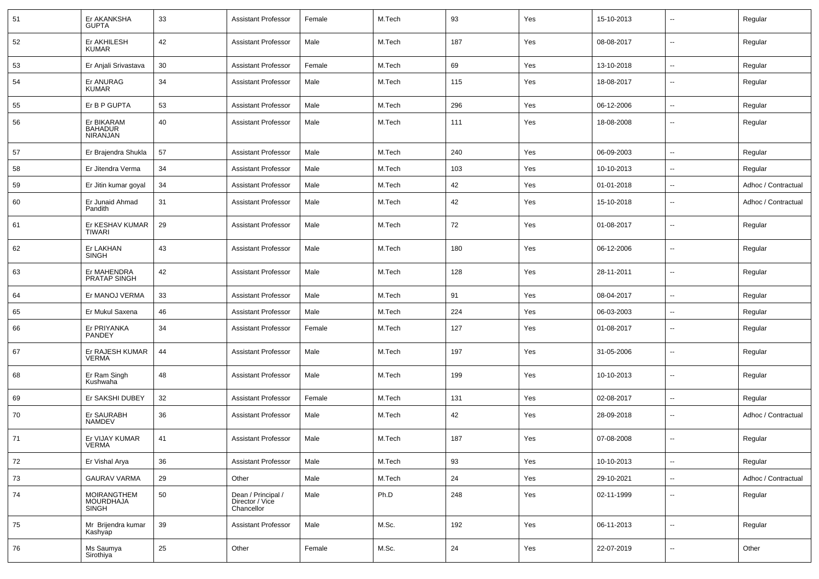| 51 | Er AKANKSHA<br><b>GUPTA</b>                     | 33 | <b>Assistant Professor</b>                          | Female | M.Tech | 93  | Yes | 15-10-2013 | ۰.                       | Regular             |
|----|-------------------------------------------------|----|-----------------------------------------------------|--------|--------|-----|-----|------------|--------------------------|---------------------|
| 52 | Er AKHILESH<br><b>KUMAR</b>                     | 42 | <b>Assistant Professor</b>                          | Male   | M.Tech | 187 | Yes | 08-08-2017 | $\sim$                   | Regular             |
| 53 | Er Anjali Srivastava                            | 30 | Assistant Professor                                 | Female | M.Tech | 69  | Yes | 13-10-2018 | $\sim$                   | Regular             |
| 54 | Er ANURAG<br><b>KUMAR</b>                       | 34 | <b>Assistant Professor</b>                          | Male   | M.Tech | 115 | Yes | 18-08-2017 | --                       | Regular             |
| 55 | Er B P GUPTA                                    | 53 | <b>Assistant Professor</b>                          | Male   | M.Tech | 296 | Yes | 06-12-2006 | $\overline{\phantom{a}}$ | Regular             |
| 56 | Er BIKARAM<br><b>BAHADUR</b><br><b>NIRANJAN</b> | 40 | <b>Assistant Professor</b>                          | Male   | M.Tech | 111 | Yes | 18-08-2008 | --                       | Regular             |
| 57 | Er Brajendra Shukla                             | 57 | <b>Assistant Professor</b>                          | Male   | M.Tech | 240 | Yes | 06-09-2003 | $\overline{\phantom{a}}$ | Regular             |
| 58 | Er Jitendra Verma                               | 34 | <b>Assistant Professor</b>                          | Male   | M.Tech | 103 | Yes | 10-10-2013 | Ξ.                       | Regular             |
| 59 | Er Jitin kumar goyal                            | 34 | <b>Assistant Professor</b>                          | Male   | M.Tech | 42  | Yes | 01-01-2018 | ۰.                       | Adhoc / Contractual |
| 60 | Er Junaid Ahmad<br>Pandith                      | 31 | <b>Assistant Professor</b>                          | Male   | M.Tech | 42  | Yes | 15-10-2018 | $\overline{a}$           | Adhoc / Contractual |
| 61 | Er KESHAV KUMAR<br>TIWARI                       | 29 | <b>Assistant Professor</b>                          | Male   | M.Tech | 72  | Yes | 01-08-2017 | $\overline{\phantom{a}}$ | Regular             |
| 62 | Er LAKHAN<br><b>SINGH</b>                       | 43 | <b>Assistant Professor</b>                          | Male   | M.Tech | 180 | Yes | 06-12-2006 | --                       | Regular             |
| 63 | Er MAHENDRA<br>PRATAP SINGH                     | 42 | <b>Assistant Professor</b>                          | Male   | M.Tech | 128 | Yes | 28-11-2011 | Ξ.                       | Regular             |
| 64 | Er MANOJ VERMA                                  | 33 | <b>Assistant Professor</b>                          | Male   | M.Tech | 91  | Yes | 08-04-2017 | Ξ.                       | Regular             |
| 65 | Er Mukul Saxena                                 | 46 | <b>Assistant Professor</b>                          | Male   | M.Tech | 224 | Yes | 06-03-2003 | $\overline{\phantom{a}}$ | Regular             |
| 66 | Er PRIYANKA<br>PANDEY                           | 34 | Assistant Professor                                 | Female | M.Tech | 127 | Yes | 01-08-2017 | --                       | Regular             |
| 67 | Er RAJESH KUMAR<br><b>VERMA</b>                 | 44 | Assistant Professor                                 | Male   | M.Tech | 197 | Yes | 31-05-2006 | --                       | Regular             |
| 68 | Er Ram Singh<br>Kushwaha                        | 48 | Assistant Professor                                 | Male   | M.Tech | 199 | Yes | 10-10-2013 | $\overline{\phantom{a}}$ | Regular             |
| 69 | Er SAKSHI DUBEY                                 | 32 | Assistant Professor                                 | Female | M.Tech | 131 | Yes | 02-08-2017 | ⊷.                       | Regular             |
| 70 | Er SAURABH<br><b>NAMDEV</b>                     | 36 | Assistant Professor                                 | Male   | M.Tech | 42  | Yes | 28-09-2018 | ۰.                       | Adhoc / Contractual |
| 71 | Er VIJAY KUMAR<br><b>VERMA</b>                  | 41 | <b>Assistant Professor</b>                          | Male   | M.Tech | 187 | Yes | 07-08-2008 | --                       | Regular             |
| 72 | Er Vishal Arya                                  | 36 | <b>Assistant Professor</b>                          | Male   | M.Tech | 93  | Yes | 10-10-2013 | $\sim$                   | Regular             |
| 73 | <b>GAURAV VARMA</b>                             | 29 | Other                                               | Male   | M.Tech | 24  | Yes | 29-10-2021 | $\overline{\phantom{a}}$ | Adhoc / Contractual |
| 74 | <b>MOIRANGTHEM</b><br>MOURDHAJA<br><b>SINGH</b> | 50 | Dean / Principal /<br>Director / Vice<br>Chancellor | Male   | Ph.D   | 248 | Yes | 02-11-1999 | --                       | Regular             |
| 75 | Mr Brijendra kumar<br>Kashyap                   | 39 | <b>Assistant Professor</b>                          | Male   | M.Sc.  | 192 | Yes | 06-11-2013 | $\overline{\phantom{a}}$ | Regular             |
| 76 | Ms Saumya<br>Sirothiya                          | 25 | Other                                               | Female | M.Sc.  | 24  | Yes | 22-07-2019 | ⊷.                       | Other               |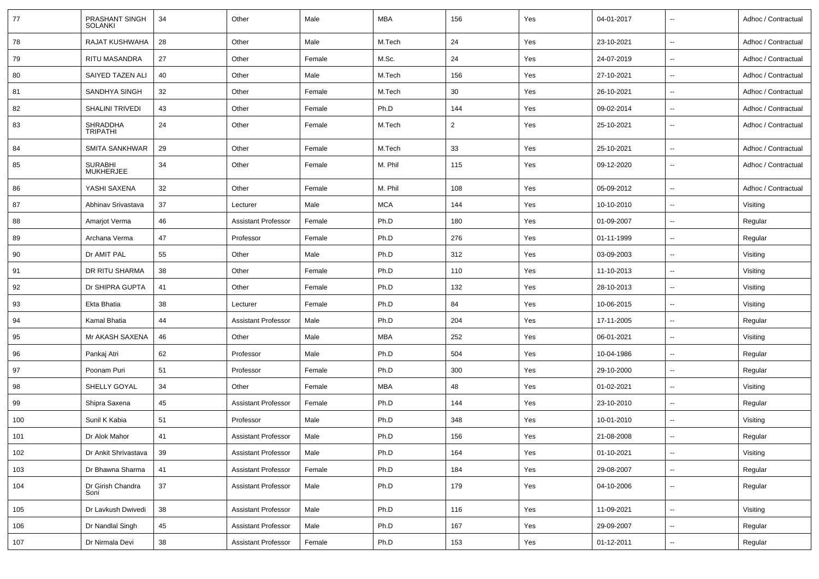| 77  | PRASHANT SINGH<br><b>SOLANKI</b>   | 34     | Other                      | Male   | <b>MBA</b> | 156            | Yes | 04-01-2017 | $\overline{\phantom{a}}$ | Adhoc / Contractual |
|-----|------------------------------------|--------|----------------------------|--------|------------|----------------|-----|------------|--------------------------|---------------------|
| 78  | RAJAT KUSHWAHA                     | 28     | Other                      | Male   | M.Tech     | 24             | Yes | 23-10-2021 | $\overline{\phantom{a}}$ | Adhoc / Contractual |
| 79  | RITU MASANDRA                      | 27     | Other                      | Female | M.Sc.      | 24             | Yes | 24-07-2019 | $\overline{\phantom{a}}$ | Adhoc / Contractual |
| 80  | SAIYED TAZEN ALI                   | 40     | Other                      | Male   | M.Tech     | 156            | Yes | 27-10-2021 | $\sim$                   | Adhoc / Contractual |
| 81  | SANDHYA SINGH                      | 32     | Other                      | Female | M.Tech     | 30             | Yes | 26-10-2021 | $\overline{\phantom{a}}$ | Adhoc / Contractual |
| 82  | <b>SHALINI TRIVEDI</b>             | 43     | Other                      | Female | Ph.D       | 144            | Yes | 09-02-2014 | $\sim$                   | Adhoc / Contractual |
| 83  | SHRADDHA<br><b>TRIPATHI</b>        | 24     | Other                      | Female | M.Tech     | $\overline{2}$ | Yes | 25-10-2021 | $\sim$                   | Adhoc / Contractual |
| 84  | <b>SMITA SANKHWAR</b>              | 29     | Other                      | Female | M.Tech     | 33             | Yes | 25-10-2021 | $\sim$                   | Adhoc / Contractual |
| 85  | <b>SURABHI</b><br><b>MUKHERJEE</b> | 34     | Other                      | Female | M. Phil    | 115            | Yes | 09-12-2020 | $\overline{\phantom{a}}$ | Adhoc / Contractual |
| 86  | YASHI SAXENA                       | 32     | Other                      | Female | M. Phil    | 108            | Yes | 05-09-2012 | $\overline{\phantom{a}}$ | Adhoc / Contractual |
| 87  | Abhinav Srivastava                 | 37     | Lecturer                   | Male   | <b>MCA</b> | 144            | Yes | 10-10-2010 | $\overline{\phantom{a}}$ | Visiting            |
| 88  | Amarjot Verma                      | 46     | <b>Assistant Professor</b> | Female | Ph.D       | 180            | Yes | 01-09-2007 | $\sim$                   | Regular             |
| 89  | Archana Verma                      | 47     | Professor                  | Female | Ph.D       | 276            | Yes | 01-11-1999 | $\overline{\phantom{a}}$ | Regular             |
| 90  | Dr AMIT PAL                        | 55     | Other                      | Male   | Ph.D       | 312            | Yes | 03-09-2003 | $\overline{\phantom{a}}$ | Visiting            |
| 91  | DR RITU SHARMA                     | 38     | Other                      | Female | Ph.D       | 110            | Yes | 11-10-2013 | $\sim$                   | Visiting            |
| 92  | Dr SHIPRA GUPTA                    | 41     | Other                      | Female | Ph.D       | 132            | Yes | 28-10-2013 | $\sim$                   | Visiting            |
| 93  | Ekta Bhatia                        | 38     | Lecturer                   | Female | Ph.D       | 84             | Yes | 10-06-2015 | $\overline{\phantom{a}}$ | Visiting            |
| 94  | Kamal Bhatia                       | 44     | <b>Assistant Professor</b> | Male   | Ph.D       | 204            | Yes | 17-11-2005 | $\overline{\phantom{a}}$ | Regular             |
| 95  | Mr AKASH SAXENA                    | 46     | Other                      | Male   | <b>MBA</b> | 252            | Yes | 06-01-2021 | $\sim$                   | Visiting            |
| 96  | Pankaj Atri                        | 62     | Professor                  | Male   | Ph.D       | 504            | Yes | 10-04-1986 | $\overline{\phantom{a}}$ | Regular             |
| 97  | Poonam Puri                        | 51     | Professor                  | Female | Ph.D       | 300            | Yes | 29-10-2000 | $\sim$                   | Regular             |
| 98  | SHELLY GOYAL                       | 34     | Other                      | Female | <b>MBA</b> | 48             | Yes | 01-02-2021 | $\overline{\phantom{a}}$ | Visiting            |
| 99  | Shipra Saxena                      | 45     | <b>Assistant Professor</b> | Female | Ph.D       | 144            | Yes | 23-10-2010 | $\overline{\phantom{a}}$ | Regular             |
| 100 | Sunil K Kabia                      | 51     | Professor                  | Male   | Ph.D       | 348            | Yes | 10-01-2010 | $\sim$                   | Visiting            |
| 101 | Dr Alok Mahor                      | 41     | <b>Assistant Professor</b> | Male   | Ph.D       | 156            | Yes | 21-08-2008 |                          | Regular             |
| 102 | Dr Ankit Shrivastava               | 39     | <b>Assistant Professor</b> | Male   | Ph.D       | 164            | Yes | 01-10-2021 | $\overline{\phantom{a}}$ | Visiting            |
| 103 | Dr Bhawna Sharma                   | 41     | <b>Assistant Professor</b> | Female | Ph.D       | 184            | Yes | 29-08-2007 | $\overline{\phantom{a}}$ | Regular             |
| 104 | Dr Girish Chandra<br>Soni          | $37\,$ | <b>Assistant Professor</b> | Male   | Ph.D       | 179            | Yes | 04-10-2006 | $\overline{\phantom{a}}$ | Regular             |
| 105 | Dr Lavkush Dwivedi                 | 38     | <b>Assistant Professor</b> | Male   | Ph.D       | 116            | Yes | 11-09-2021 | $\overline{\phantom{a}}$ | Visiting            |
| 106 | Dr Nandlal Singh                   | 45     | <b>Assistant Professor</b> | Male   | Ph.D       | 167            | Yes | 29-09-2007 | $\sim$                   | Regular             |
| 107 | Dr Nirmala Devi                    | $38\,$ | <b>Assistant Professor</b> | Female | Ph.D       | 153            | Yes | 01-12-2011 | $\overline{\phantom{a}}$ | Regular             |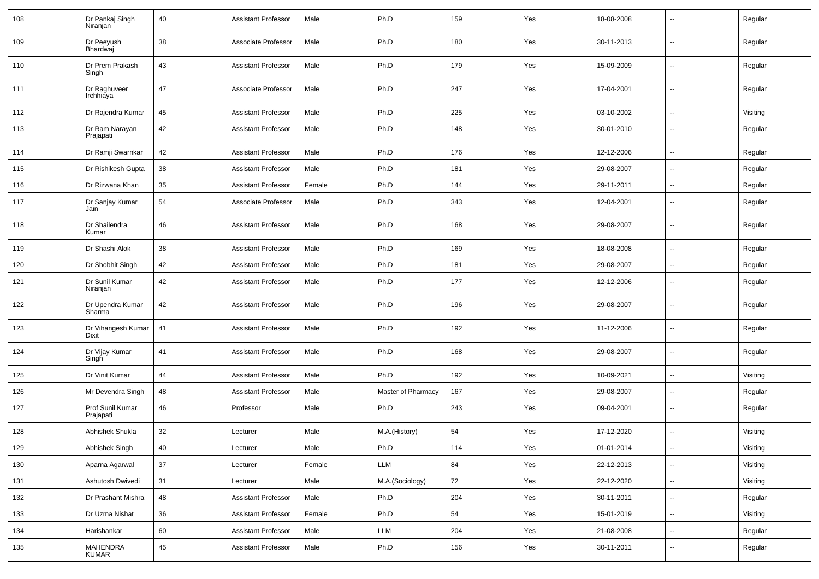| 108 | Dr Pankaj Singh<br>Niranjan        | 40 | <b>Assistant Professor</b> | Male   | Ph.D               | 159 | Yes | 18-08-2008 | -−                       | Regular  |
|-----|------------------------------------|----|----------------------------|--------|--------------------|-----|-----|------------|--------------------------|----------|
| 109 | Dr Peeyush<br>Bhardwaj             | 38 | Associate Professor        | Male   | Ph.D               | 180 | Yes | 30-11-2013 | $\overline{\phantom{a}}$ | Regular  |
| 110 | Dr Prem Prakash<br>Singh           | 43 | <b>Assistant Professor</b> | Male   | Ph.D               | 179 | Yes | 15-09-2009 | ⊷.                       | Regular  |
| 111 | Dr Raghuveer<br>Irchhiaya          | 47 | Associate Professor        | Male   | Ph.D               | 247 | Yes | 17-04-2001 | ⊷.                       | Regular  |
| 112 | Dr Rajendra Kumar                  | 45 | <b>Assistant Professor</b> | Male   | Ph.D               | 225 | Yes | 03-10-2002 | ⊷.                       | Visiting |
| 113 | Dr Ram Narayan<br>Prajapati        | 42 | <b>Assistant Professor</b> | Male   | Ph.D               | 148 | Yes | 30-01-2010 | --                       | Regular  |
| 114 | Dr Ramji Swarnkar                  | 42 | <b>Assistant Professor</b> | Male   | Ph.D               | 176 | Yes | 12-12-2006 | Ξ.                       | Regular  |
| 115 | Dr Rishikesh Gupta                 | 38 | <b>Assistant Professor</b> | Male   | Ph.D               | 181 | Yes | 29-08-2007 | --                       | Regular  |
| 116 | Dr Rizwana Khan                    | 35 | <b>Assistant Professor</b> | Female | Ph.D               | 144 | Yes | 29-11-2011 | --                       | Regular  |
| 117 | Dr Sanjay Kumar<br>Jain            | 54 | Associate Professor        | Male   | Ph.D               | 343 | Yes | 12-04-2001 | ⊷.                       | Regular  |
| 118 | Dr Shailendra<br>Kumar             | 46 | <b>Assistant Professor</b> | Male   | Ph.D               | 168 | Yes | 29-08-2007 | $\mathbf{u}$             | Regular  |
| 119 | Dr Shashi Alok                     | 38 | <b>Assistant Professor</b> | Male   | Ph.D               | 169 | Yes | 18-08-2008 | Ξ.                       | Regular  |
| 120 | Dr Shobhit Singh                   | 42 | <b>Assistant Professor</b> | Male   | Ph.D               | 181 | Yes | 29-08-2007 | $\overline{\phantom{a}}$ | Regular  |
| 121 | Dr Sunil Kumar<br>Niranjan         | 42 | <b>Assistant Professor</b> | Male   | Ph.D               | 177 | Yes | 12-12-2006 | -−                       | Regular  |
| 122 | Dr Upendra Kumar<br>Sharma         | 42 | <b>Assistant Professor</b> | Male   | Ph.D               | 196 | Yes | 29-08-2007 | -−                       | Regular  |
| 123 | Dr Vihangesh Kumar<br><b>Dixit</b> | 41 | <b>Assistant Professor</b> | Male   | Ph.D               | 192 | Yes | 11-12-2006 | -−                       | Regular  |
| 124 | Dr Vijay Kumar<br>Singh            | 41 | <b>Assistant Professor</b> | Male   | Ph.D               | 168 | Yes | 29-08-2007 | $\overline{\phantom{a}}$ | Regular  |
| 125 | Dr Vinit Kumar                     | 44 | <b>Assistant Professor</b> | Male   | Ph.D               | 192 | Yes | 10-09-2021 | н.                       | Visiting |
| 126 | Mr Devendra Singh                  | 48 | <b>Assistant Professor</b> | Male   | Master of Pharmacy | 167 | Yes | 29-08-2007 | $\overline{\phantom{a}}$ | Regular  |
| 127 | Prof Sunil Kumar<br>Prajapati      | 46 | Professor                  | Male   | Ph.D               | 243 | Yes | 09-04-2001 | --                       | Regular  |
| 128 | Abhishek Shukla                    | 32 | Lecturer                   | Male   | M.A.(History)      | 54  | Yes | 17-12-2020 | --                       | Visiting |
| 129 | Abhishek Singh                     | 40 | Lecturer                   | Male   | Ph.D               | 114 | Yes | 01-01-2014 | $- -$                    | Visiting |
| 130 | Aparna Agarwal                     | 37 | Lecturer                   | Female | LLM                | 84  | Yes | 22-12-2013 | $\overline{\phantom{a}}$ | Visiting |
| 131 | Ashutosh Dwivedi                   | 31 | Lecturer                   | Male   | M.A.(Sociology)    | 72  | Yes | 22-12-2020 | $\overline{\phantom{a}}$ | Visiting |
| 132 | Dr Prashant Mishra                 | 48 | <b>Assistant Professor</b> | Male   | Ph.D               | 204 | Yes | 30-11-2011 | н.                       | Regular  |
| 133 | Dr Uzma Nishat                     | 36 | Assistant Professor        | Female | Ph.D               | 54  | Yes | 15-01-2019 | $\overline{\phantom{a}}$ | Visiting |
| 134 | Harishankar                        | 60 | <b>Assistant Professor</b> | Male   | LLM                | 204 | Yes | 21-08-2008 | $\sim$                   | Regular  |
| 135 | MAHENDRA<br>KUMAR                  | 45 | <b>Assistant Professor</b> | Male   | Ph.D               | 156 | Yes | 30-11-2011 | $\sim$                   | Regular  |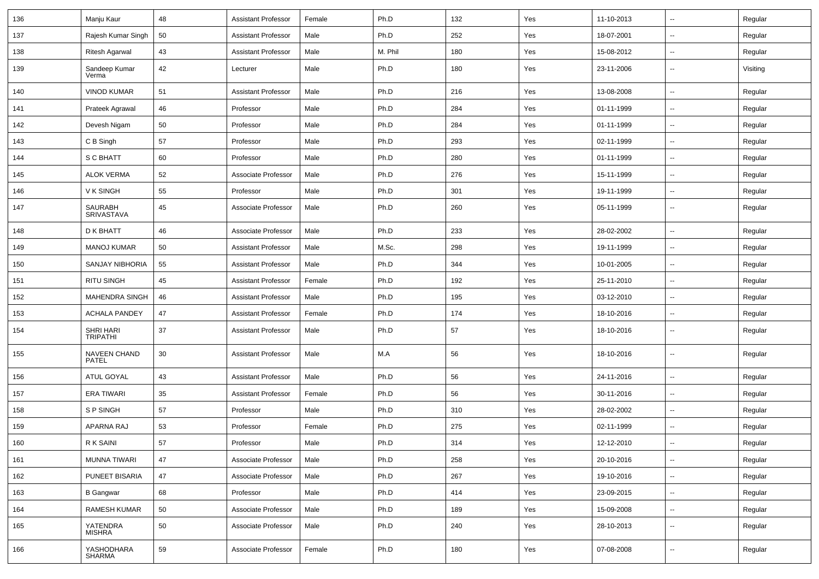| 136 | Manju Kaur                   | 48 | Assistant Professor        | Female | Ph.D    | 132 | Yes | 11-10-2013 | $\sim$                     | Regular  |
|-----|------------------------------|----|----------------------------|--------|---------|-----|-----|------------|----------------------------|----------|
| 137 | Rajesh Kumar Singh           | 50 | <b>Assistant Professor</b> | Male   | Ph.D    | 252 | Yes | 18-07-2001 | $\mathbf{u}$               | Regular  |
| 138 | Ritesh Agarwal               | 43 | <b>Assistant Professor</b> | Male   | M. Phil | 180 | Yes | 15-08-2012 | $\mathbf{u}$               | Regular  |
| 139 | Sandeep Kumar<br>Verma       | 42 | Lecturer                   | Male   | Ph.D    | 180 | Yes | 23-11-2006 | $\overline{\phantom{a}}$   | Visiting |
| 140 | <b>VINOD KUMAR</b>           | 51 | <b>Assistant Professor</b> | Male   | Ph.D    | 216 | Yes | 13-08-2008 | $\sim$                     | Regular  |
| 141 | Prateek Agrawal              | 46 | Professor                  | Male   | Ph.D    | 284 | Yes | 01-11-1999 | $\overline{\phantom{a}}$   | Regular  |
| 142 | Devesh Nigam                 | 50 | Professor                  | Male   | Ph.D    | 284 | Yes | 01-11-1999 | $\overline{a}$             | Regular  |
| 143 | C B Singh                    | 57 | Professor                  | Male   | Ph.D    | 293 | Yes | 02-11-1999 | $\sim$                     | Regular  |
| 144 | S C BHATT                    | 60 | Professor                  | Male   | Ph.D    | 280 | Yes | 01-11-1999 | $\overline{\phantom{a}}$   | Regular  |
| 145 | <b>ALOK VERMA</b>            | 52 | Associate Professor        | Male   | Ph.D    | 276 | Yes | 15-11-1999 | $\mathbf{u}$               | Regular  |
| 146 | V K SINGH                    | 55 | Professor                  | Male   | Ph.D    | 301 | Yes | 19-11-1999 | $\overline{\phantom{a}}$   | Regular  |
| 147 | <b>SAURABH</b><br>SRIVASTAVA | 45 | Associate Professor        | Male   | Ph.D    | 260 | Yes | 05-11-1999 | $\overline{\phantom{a}}$   | Regular  |
| 148 | <b>D K BHATT</b>             | 46 | Associate Professor        | Male   | Ph.D    | 233 | Yes | 28-02-2002 | $\overline{\phantom{a}}$   | Regular  |
| 149 | <b>MANOJ KUMAR</b>           | 50 | <b>Assistant Professor</b> | Male   | M.Sc.   | 298 | Yes | 19-11-1999 | $\sim$                     | Regular  |
| 150 | <b>SANJAY NIBHORIA</b>       | 55 | <b>Assistant Professor</b> | Male   | Ph.D    | 344 | Yes | 10-01-2005 | $\sim$                     | Regular  |
| 151 | <b>RITU SINGH</b>            | 45 | <b>Assistant Professor</b> | Female | Ph.D    | 192 | Yes | 25-11-2010 | $\sim$                     | Regular  |
| 152 | <b>MAHENDRA SINGH</b>        | 46 | <b>Assistant Professor</b> | Male   | Ph.D    | 195 | Yes | 03-12-2010 | $\mathbf{u}$               | Regular  |
| 153 | <b>ACHALA PANDEY</b>         | 47 | <b>Assistant Professor</b> | Female | Ph.D    | 174 | Yes | 18-10-2016 | $\overline{\phantom{a}}$   | Regular  |
| 154 | SHRI HARI<br><b>TRIPATHI</b> | 37 | <b>Assistant Professor</b> | Male   | Ph.D    | 57  | Yes | 18-10-2016 | --                         | Regular  |
| 155 | <b>NAVEEN CHAND</b><br>PATEL | 30 | <b>Assistant Professor</b> | Male   | M.A     | 56  | Yes | 18-10-2016 | --                         | Regular  |
| 156 | ATUL GOYAL                   | 43 | <b>Assistant Professor</b> | Male   | Ph.D    | 56  | Yes | 24-11-2016 | $\overline{\phantom{a}}$   | Regular  |
| 157 | <b>ERA TIWARI</b>            | 35 | <b>Assistant Professor</b> | Female | Ph.D    | 56  | Yes | 30-11-2016 | $\mathbf{u}$               | Regular  |
| 158 | S P SINGH                    | 57 | Professor                  | Male   | Ph.D    | 310 | Yes | 28-02-2002 | $\sim$                     | Regular  |
| 159 | APARNA RAJ                   | 53 | Professor                  | Female | Ph.D    | 275 | Yes | 02-11-1999 | $\mathbf{u}$               | Regular  |
| 160 | R K SAINI                    | 57 | Professor                  | Male   | Ph.D    | 314 | Yes | 12-12-2010 | $\sim$                     | Regular  |
| 161 | <b>MUNNA TIWARI</b>          | 47 | Associate Professor        | Male   | Ph.D    | 258 | Yes | 20-10-2016 | $\mathbf{u}$               | Regular  |
| 162 | PUNEET BISARIA               | 47 | Associate Professor        | Male   | Ph.D    | 267 | Yes | 19-10-2016 | $\sim$                     | Regular  |
| 163 | <b>B</b> Gangwar             | 68 | Professor                  | Male   | Ph.D    | 414 | Yes | 23-09-2015 | $\mathcal{L}_{\mathbf{r}}$ | Regular  |
| 164 | <b>RAMESH KUMAR</b>          | 50 | Associate Professor        | Male   | Ph.D    | 189 | Yes | 15-09-2008 | $\sim$                     | Regular  |
| 165 | YATENDRA<br><b>MISHRA</b>    | 50 | Associate Professor        | Male   | Ph.D    | 240 | Yes | 28-10-2013 | $\sim$                     | Regular  |
| 166 | YASHODHARA<br>SHARMA         | 59 | Associate Professor        | Female | Ph.D    | 180 | Yes | 07-08-2008 | --                         | Regular  |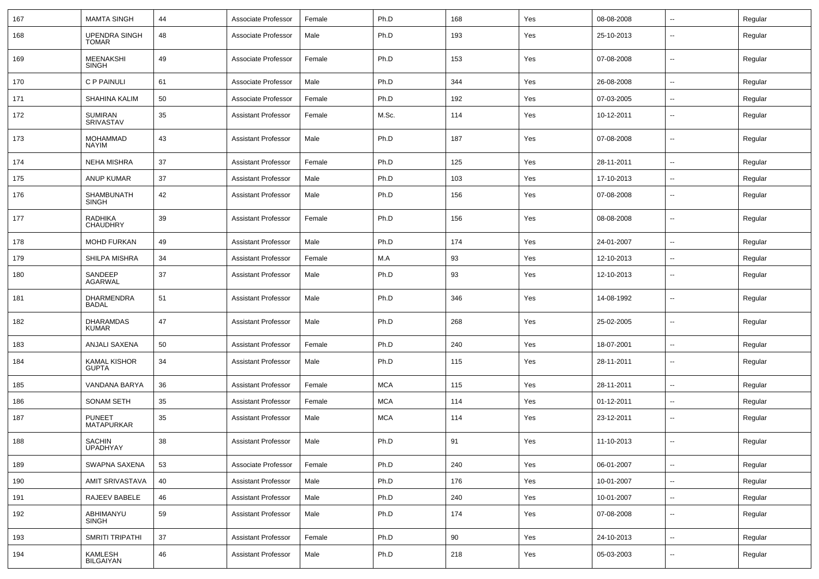| 167 | <b>MAMTA SINGH</b>                   | 44 | Associate Professor        | Female | Ph.D       | 168 | Yes | 08-08-2008 | $\sim$                   | Regular |
|-----|--------------------------------------|----|----------------------------|--------|------------|-----|-----|------------|--------------------------|---------|
| 168 | <b>UPENDRA SINGH</b><br><b>TOMAR</b> | 48 | Associate Professor        | Male   | Ph.D       | 193 | Yes | 25-10-2013 | --                       | Regular |
| 169 | <b>MEENAKSHI</b><br><b>SINGH</b>     | 49 | Associate Professor        | Female | Ph.D       | 153 | Yes | 07-08-2008 | --                       | Regular |
| 170 | C P PAINULI                          | 61 | Associate Professor        | Male   | Ph.D       | 344 | Yes | 26-08-2008 | $\overline{\phantom{a}}$ | Regular |
| 171 | <b>SHAHINA KALIM</b>                 | 50 | Associate Professor        | Female | Ph.D       | 192 | Yes | 07-03-2005 | $\overline{\phantom{a}}$ | Regular |
| 172 | SUMIRAN<br><b>SRIVASTAV</b>          | 35 | <b>Assistant Professor</b> | Female | M.Sc.      | 114 | Yes | 10-12-2011 | $\overline{\phantom{a}}$ | Regular |
| 173 | <b>MOHAMMAD</b><br><b>NAYIM</b>      | 43 | <b>Assistant Professor</b> | Male   | Ph.D       | 187 | Yes | 07-08-2008 | --                       | Regular |
| 174 | <b>NEHA MISHRA</b>                   | 37 | <b>Assistant Professor</b> | Female | Ph.D       | 125 | Yes | 28-11-2011 | $\overline{\phantom{a}}$ | Regular |
| 175 | <b>ANUP KUMAR</b>                    | 37 | <b>Assistant Professor</b> | Male   | Ph.D       | 103 | Yes | 17-10-2013 | --                       | Regular |
| 176 | <b>SHAMBUNATH</b><br><b>SINGH</b>    | 42 | <b>Assistant Professor</b> | Male   | Ph.D       | 156 | Yes | 07-08-2008 | $\sim$                   | Regular |
| 177 | <b>RADHIKA</b><br><b>CHAUDHRY</b>    | 39 | <b>Assistant Professor</b> | Female | Ph.D       | 156 | Yes | 08-08-2008 | $\overline{\phantom{a}}$ | Regular |
| 178 | MOHD FURKAN                          | 49 | <b>Assistant Professor</b> | Male   | Ph.D       | 174 | Yes | 24-01-2007 | $\sim$                   | Regular |
| 179 | SHILPA MISHRA                        | 34 | <b>Assistant Professor</b> | Female | M.A        | 93  | Yes | 12-10-2013 | $\sim$                   | Regular |
| 180 | SANDEEP<br><b>AGARWAL</b>            | 37 | <b>Assistant Professor</b> | Male   | Ph.D       | 93  | Yes | 12-10-2013 | --                       | Regular |
| 181 | <b>DHARMENDRA</b><br><b>BADAL</b>    | 51 | <b>Assistant Professor</b> | Male   | Ph.D       | 346 | Yes | 14-08-1992 | --                       | Regular |
| 182 | <b>DHARAMDAS</b><br><b>KUMAR</b>     | 47 | <b>Assistant Professor</b> | Male   | Ph.D       | 268 | Yes | 25-02-2005 | --                       | Regular |
| 183 | ANJALI SAXENA                        | 50 | <b>Assistant Professor</b> | Female | Ph.D       | 240 | Yes | 18-07-2001 | --                       | Regular |
| 184 | KAMAL KISHOR<br><b>GUPTA</b>         | 34 | <b>Assistant Professor</b> | Male   | Ph.D       | 115 | Yes | 28-11-2011 | --                       | Regular |
| 185 | VANDANA BARYA                        | 36 | <b>Assistant Professor</b> | Female | <b>MCA</b> | 115 | Yes | 28-11-2011 | $\overline{\phantom{a}}$ | Regular |
| 186 | SONAM SETH                           | 35 | <b>Assistant Professor</b> | Female | <b>MCA</b> | 114 | Yes | 01-12-2011 | $\overline{\phantom{a}}$ | Regular |
| 187 | <b>PUNEET</b><br>MATAPURKAR          | 35 | <b>Assistant Professor</b> | Male   | <b>MCA</b> | 114 | Yes | 23-12-2011 | --                       | Regular |
| 188 | <b>SACHIN</b><br><b>UPADHYAY</b>     | 38 | <b>Assistant Professor</b> | Male   | Ph.D       | 91  | Yes | 11-10-2013 |                          | Regular |
| 189 | SWAPNA SAXENA                        | 53 | Associate Professor        | Female | Ph.D       | 240 | Yes | 06-01-2007 | Щ,                       | Regular |
| 190 | AMIT SRIVASTAVA                      | 40 | <b>Assistant Professor</b> | Male   | Ph.D       | 176 | Yes | 10-01-2007 | $\overline{\phantom{a}}$ | Regular |
| 191 | RAJEEV BABELE                        | 46 | <b>Assistant Professor</b> | Male   | Ph.D       | 240 | Yes | 10-01-2007 | $\sim$                   | Regular |
| 192 | ABHIMANYU<br><b>SINGH</b>            | 59 | <b>Assistant Professor</b> | Male   | Ph.D       | 174 | Yes | 07-08-2008 | $\overline{\phantom{a}}$ | Regular |
| 193 | SMRITI TRIPATHI                      | 37 | <b>Assistant Professor</b> | Female | Ph.D       | 90  | Yes | 24-10-2013 | $\sim$                   | Regular |
| 194 | KAMLESH<br>BILGAIYAN                 | 46 | <b>Assistant Professor</b> | Male   | Ph.D       | 218 | Yes | 05-03-2003 | $\overline{\phantom{a}}$ | Regular |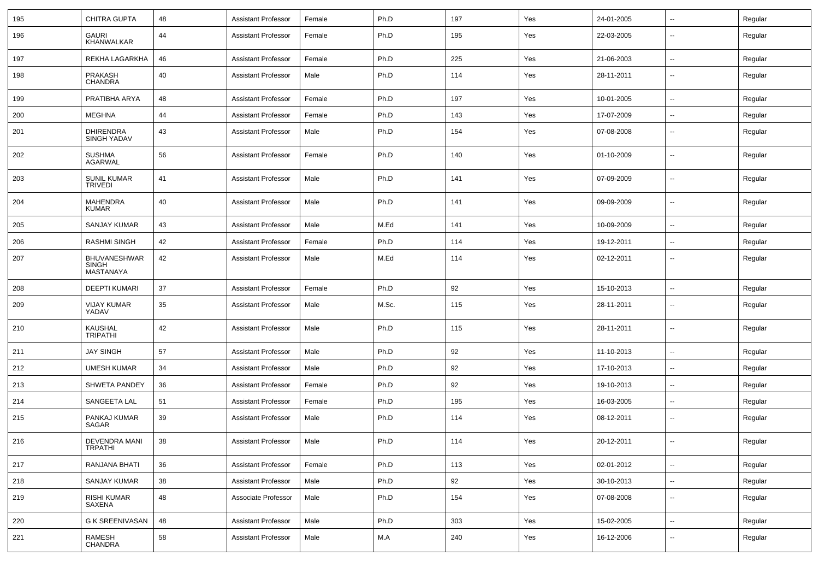| 195 | CHITRA GUPTA                                            | 48 | Assistant Professor        | Female | Ph.D  | 197 | Yes | 24-01-2005 | $\overline{\phantom{a}}$ | Regular |
|-----|---------------------------------------------------------|----|----------------------------|--------|-------|-----|-----|------------|--------------------------|---------|
| 196 | <b>GAURI</b><br>KHANWALKAR                              | 44 | <b>Assistant Professor</b> | Female | Ph.D  | 195 | Yes | 22-03-2005 | --                       | Regular |
| 197 | REKHA LAGARKHA                                          | 46 | Assistant Professor        | Female | Ph.D  | 225 | Yes | 21-06-2003 | $\overline{\phantom{a}}$ | Regular |
| 198 | <b>PRAKASH</b><br><b>CHANDRA</b>                        | 40 | <b>Assistant Professor</b> | Male   | Ph.D  | 114 | Yes | 28-11-2011 | --                       | Regular |
| 199 | PRATIBHA ARYA                                           | 48 | <b>Assistant Professor</b> | Female | Ph.D  | 197 | Yes | 10-01-2005 | Ξ.                       | Regular |
| 200 | MEGHNA                                                  | 44 | <b>Assistant Professor</b> | Female | Ph.D  | 143 | Yes | 17-07-2009 | $\overline{\phantom{a}}$ | Regular |
| 201 | <b>DHIRENDRA</b><br><b>SINGH YADAV</b>                  | 43 | <b>Assistant Professor</b> | Male   | Ph.D  | 154 | Yes | 07-08-2008 | $\overline{a}$           | Regular |
| 202 | <b>SUSHMA</b><br><b>AGARWAL</b>                         | 56 | <b>Assistant Professor</b> | Female | Ph.D  | 140 | Yes | 01-10-2009 | ۰.                       | Regular |
| 203 | <b>SUNIL KUMAR</b><br><b>TRIVEDI</b>                    | 41 | <b>Assistant Professor</b> | Male   | Ph.D  | 141 | Yes | 07-09-2009 | --                       | Regular |
| 204 | <b>MAHENDRA</b><br><b>KUMAR</b>                         | 40 | <b>Assistant Professor</b> | Male   | Ph.D  | 141 | Yes | 09-09-2009 | $\overline{a}$           | Regular |
| 205 | <b>SANJAY KUMAR</b>                                     | 43 | <b>Assistant Professor</b> | Male   | M.Ed  | 141 | Yes | 10-09-2009 | $\overline{\phantom{a}}$ | Regular |
| 206 | <b>RASHMI SINGH</b>                                     | 42 | <b>Assistant Professor</b> | Female | Ph.D  | 114 | Yes | 19-12-2011 | $\sim$                   | Regular |
| 207 | <b>BHUVANESHWAR</b><br><b>SINGH</b><br><b>MASTANAYA</b> | 42 | <b>Assistant Professor</b> | Male   | M.Ed  | 114 | Yes | 02-12-2011 | ۰.                       | Regular |
| 208 | <b>DEEPTI KUMARI</b>                                    | 37 | <b>Assistant Professor</b> | Female | Ph.D  | 92  | Yes | 15-10-2013 | $\sim$                   | Regular |
| 209 | <b>VIJAY KUMAR</b><br>YADAV                             | 35 | Assistant Professor        | Male   | M.Sc. | 115 | Yes | 28-11-2011 | ۰.                       | Regular |
| 210 | KAUSHAL<br><b>TRIPATHI</b>                              | 42 | <b>Assistant Professor</b> | Male   | Ph.D  | 115 | Yes | 28-11-2011 | ⊷.                       | Regular |
| 211 | <b>JAY SINGH</b>                                        | 57 | Assistant Professor        | Male   | Ph.D  | 92  | Yes | 11-10-2013 | щ.                       | Regular |
| 212 | <b>UMESH KUMAR</b>                                      | 34 | <b>Assistant Professor</b> | Male   | Ph.D  | 92  | Yes | 17-10-2013 | $\overline{\phantom{a}}$ | Regular |
| 213 | SHWETA PANDEY                                           | 36 | <b>Assistant Professor</b> | Female | Ph.D  | 92  | Yes | 19-10-2013 | $\overline{\phantom{a}}$ | Regular |
| 214 | SANGEETA LAL                                            | 51 | <b>Assistant Professor</b> | Female | Ph.D  | 195 | Yes | 16-03-2005 | $\overline{\phantom{a}}$ | Regular |
| 215 | PANKAJ KUMAR<br>SAGAR                                   | 39 | <b>Assistant Professor</b> | Male   | Ph.D  | 114 | Yes | 08-12-2011 | ۰.                       | Regular |
| 216 | <b>DEVENDRA MANI</b><br><b>IKPAIHI</b>                  | 38 | <b>Assistant Professor</b> | Male   | Ph.D  | 114 | Yes | 20-12-2011 | Ξ.                       | Regular |
| 217 | RANJANA BHATI                                           | 36 | Assistant Professor        | Female | Ph.D  | 113 | Yes | 02-01-2012 | ÷.                       | Regular |
| 218 | SANJAY KUMAR                                            | 38 | <b>Assistant Professor</b> | Male   | Ph.D  | 92  | Yes | 30-10-2013 | $\overline{\phantom{a}}$ | Regular |
| 219 | RISHI KUMAR<br>SAXENA                                   | 48 | Associate Professor        | Male   | Ph.D  | 154 | Yes | 07-08-2008 | $\sim$                   | Regular |
| 220 | G K SREENIVASAN                                         | 48 | <b>Assistant Professor</b> | Male   | Ph.D  | 303 | Yes | 15-02-2005 | $\sim$                   | Regular |
| 221 | RAMESH<br>CHANDRA                                       | 58 | <b>Assistant Professor</b> | Male   | M.A   | 240 | Yes | 16-12-2006 | ⊷.                       | Regular |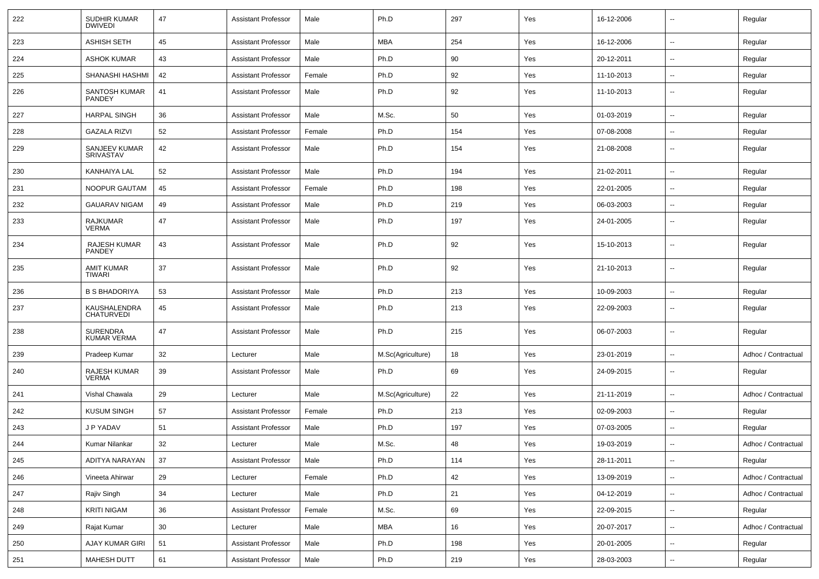| 222 | SUDHIR KUMAR<br><b>DWIVEDI</b>       | 47 | <b>Assistant Professor</b> | Male   | Ph.D              | 297 | Yes | 16-12-2006 | $\overline{\phantom{a}}$ | Regular             |
|-----|--------------------------------------|----|----------------------------|--------|-------------------|-----|-----|------------|--------------------------|---------------------|
| 223 | <b>ASHISH SETH</b>                   | 45 | <b>Assistant Professor</b> | Male   | MBA               | 254 | Yes | 16-12-2006 | $\sim$                   | Regular             |
| 224 | <b>ASHOK KUMAR</b>                   | 43 | <b>Assistant Professor</b> | Male   | Ph.D              | 90  | Yes | 20-12-2011 | --                       | Regular             |
| 225 | SHANASHI HASHMI                      | 42 | <b>Assistant Professor</b> | Female | Ph.D              | 92  | Yes | 11-10-2013 | --                       | Regular             |
| 226 | SANTOSH KUMAR<br><b>PANDEY</b>       | 41 | <b>Assistant Professor</b> | Male   | Ph.D              | 92  | Yes | 11-10-2013 | $\overline{\phantom{a}}$ | Regular             |
| 227 | <b>HARPAL SINGH</b>                  | 36 | <b>Assistant Professor</b> | Male   | M.Sc.             | 50  | Yes | 01-03-2019 | --                       | Regular             |
| 228 | <b>GAZALA RIZVI</b>                  | 52 | <b>Assistant Professor</b> | Female | Ph.D              | 154 | Yes | 07-08-2008 | $\overline{\phantom{a}}$ | Regular             |
| 229 | SANJEEV KUMAR<br><b>SRIVASTAV</b>    | 42 | <b>Assistant Professor</b> | Male   | Ph.D              | 154 | Yes | 21-08-2008 | $\overline{a}$           | Regular             |
| 230 | KANHAIYA LAL                         | 52 | <b>Assistant Professor</b> | Male   | Ph.D              | 194 | Yes | 21-02-2011 | $\overline{\phantom{a}}$ | Regular             |
| 231 | NOOPUR GAUTAM                        | 45 | <b>Assistant Professor</b> | Female | Ph.D              | 198 | Yes | 22-01-2005 | $\sim$                   | Regular             |
| 232 | <b>GAUARAV NIGAM</b>                 | 49 | <b>Assistant Professor</b> | Male   | Ph.D              | 219 | Yes | 06-03-2003 | --                       | Regular             |
| 233 | <b>RAJKUMAR</b><br><b>VERMA</b>      | 47 | <b>Assistant Professor</b> | Male   | Ph.D              | 197 | Yes | 24-01-2005 | --                       | Regular             |
| 234 | <b>RAJESH KUMAR</b><br><b>PANDEY</b> | 43 | <b>Assistant Professor</b> | Male   | Ph.D              | 92  | Yes | 15-10-2013 | --                       | Regular             |
| 235 | <b>AMIT KUMAR</b><br><b>TIWARI</b>   | 37 | <b>Assistant Professor</b> | Male   | Ph.D              | 92  | Yes | 21-10-2013 | $\overline{\phantom{a}}$ | Regular             |
| 236 | <b>B S BHADORIYA</b>                 | 53 | <b>Assistant Professor</b> | Male   | Ph.D              | 213 | Yes | 10-09-2003 | Ξ.                       | Regular             |
| 237 | KAUSHALENDRA<br><b>CHATURVEDI</b>    | 45 | <b>Assistant Professor</b> | Male   | Ph.D              | 213 | Yes | 22-09-2003 | $\overline{\phantom{a}}$ | Regular             |
| 238 | <b>SURENDRA</b><br>KUMAR VERMA       | 47 | <b>Assistant Professor</b> | Male   | Ph.D              | 215 | Yes | 06-07-2003 | ⊷.                       | Regular             |
| 239 | Pradeep Kumar                        | 32 | Lecturer                   | Male   | M.Sc(Agriculture) | 18  | Yes | 23-01-2019 | $\overline{\phantom{a}}$ | Adhoc / Contractual |
| 240 | RAJESH KUMAR<br><b>VERMA</b>         | 39 | <b>Assistant Professor</b> | Male   | Ph.D              | 69  | Yes | 24-09-2015 | --                       | Regular             |
| 241 | Vishal Chawala                       | 29 | Lecturer                   | Male   | M.Sc(Agriculture) | 22  | Yes | 21-11-2019 | --                       | Adhoc / Contractual |
| 242 | KUSUM SINGH                          | 57 | <b>Assistant Professor</b> | Female | Ph.D              | 213 | Yes | 02-09-2003 | $\overline{\phantom{a}}$ | Regular             |
| 243 | J P YADAV                            | 51 | <b>Assistant Professor</b> | Male   | Ph.D              | 197 | Yes | 07-03-2005 | --                       | Regular             |
| 244 | Kumar Nilankar                       | 32 | Lecturer                   | Male   | M.Sc.             | 48  | Yes | 19-03-2019 | $\overline{\phantom{a}}$ | Adhoc / Contractual |
| 245 | ADITYA NARAYAN                       | 37 | <b>Assistant Professor</b> | Male   | Ph.D              | 114 | Yes | 28-11-2011 | $\sim$                   | Regular             |
| 246 | Vineeta Ahirwar                      | 29 | Lecturer                   | Female | Ph.D              | 42  | Yes | 13-09-2019 | $\overline{\phantom{a}}$ | Adhoc / Contractual |
| 247 | Rajiv Singh                          | 34 | Lecturer                   | Male   | Ph.D              | 21  | Yes | 04-12-2019 | $\overline{\phantom{a}}$ | Adhoc / Contractual |
| 248 | KRITI NIGAM                          | 36 | <b>Assistant Professor</b> | Female | M.Sc.             | 69  | Yes | 22-09-2015 | $\sim$                   | Regular             |
| 249 | Rajat Kumar                          | 30 | Lecturer                   | Male   | MBA               | 16  | Yes | 20-07-2017 | $\sim$                   | Adhoc / Contractual |
| 250 | <b>AJAY KUMAR GIRI</b>               | 51 | <b>Assistant Professor</b> | Male   | Ph.D              | 198 | Yes | 20-01-2005 | $\overline{\phantom{a}}$ | Regular             |
| 251 | <b>MAHESH DUTT</b>                   | 61 | Assistant Professor        | Male   | Ph.D              | 219 | Yes | 28-03-2003 | $\sim$                   | Regular             |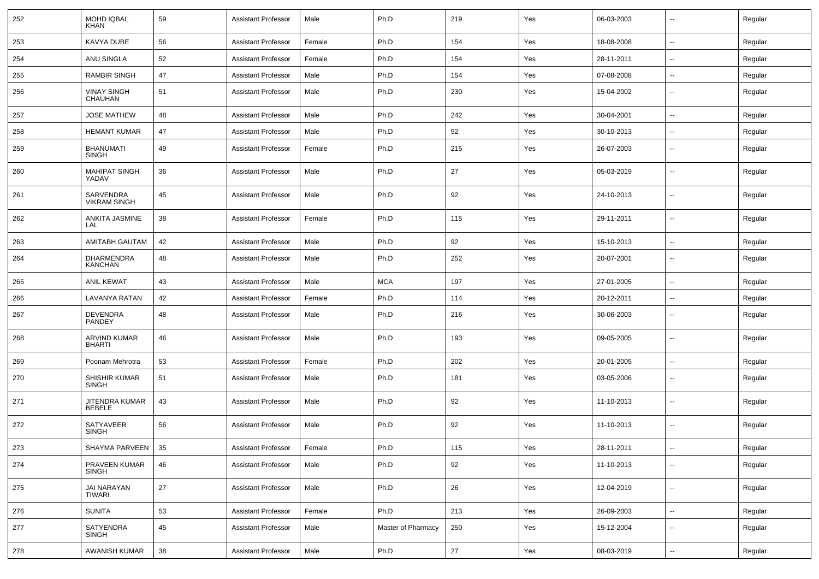| 252 | <b>MOHD IQBAL</b><br><b>KHAN</b> | 59 | <b>Assistant Professor</b> | Male   | Ph.D               | 219    | Yes | 06-03-2003 | $\overline{\phantom{a}}$ | Regular |
|-----|----------------------------------|----|----------------------------|--------|--------------------|--------|-----|------------|--------------------------|---------|
| 253 | KAVYA DUBE                       | 56 | <b>Assistant Professor</b> | Female | Ph.D               | 154    | Yes | 18-08-2008 | ⊷.                       | Regular |
| 254 | ANU SINGLA                       | 52 | <b>Assistant Professor</b> | Female | Ph.D               | 154    | Yes | 28-11-2011 | н.                       | Regular |
| 255 | <b>RAMBIR SINGH</b>              | 47 | <b>Assistant Professor</b> | Male   | Ph.D               | 154    | Yes | 07-08-2008 | -−                       | Regular |
| 256 | <b>VINAY SINGH</b><br>CHAUHAN    | 51 | <b>Assistant Professor</b> | Male   | Ph.D               | 230    | Yes | 15-04-2002 | --                       | Regular |
| 257 | <b>JOSE MATHEW</b>               | 48 | <b>Assistant Professor</b> | Male   | Ph.D               | 242    | Yes | 30-04-2001 | --                       | Regular |
| 258 | <b>HEMANT KUMAR</b>              | 47 | <b>Assistant Professor</b> | Male   | Ph.D               | 92     | Yes | 30-10-2013 | --                       | Regular |
| 259 | <b>BHANUMATI</b><br><b>SINGH</b> | 49 | <b>Assistant Professor</b> | Female | Ph.D               | 215    | Yes | 26-07-2003 | $\overline{\phantom{a}}$ | Regular |
| 260 | <b>MAHIPAT SINGH</b><br>YADAV    | 36 | <b>Assistant Professor</b> | Male   | Ph.D               | 27     | Yes | 05-03-2019 | ⊷.                       | Regular |
| 261 | SARVENDRA<br><b>VIKRAM SINGH</b> | 45 | <b>Assistant Professor</b> | Male   | Ph.D               | 92     | Yes | 24-10-2013 | $\overline{\phantom{a}}$ | Regular |
| 262 | ANKITA JASMINE<br>LAL            | 38 | <b>Assistant Professor</b> | Female | Ph.D               | 115    | Yes | 29-11-2011 | $\overline{\phantom{a}}$ | Regular |
| 263 | <b>AMITABH GAUTAM</b>            | 42 | <b>Assistant Professor</b> | Male   | Ph.D               | 92     | Yes | 15-10-2013 | ⊷.                       | Regular |
| 264 | <b>DHARMENDRA</b><br>KANCHAN     | 48 | <b>Assistant Professor</b> | Male   | Ph.D               | 252    | Yes | 20-07-2001 | --                       | Regular |
| 265 | <b>ANIL KEWAT</b>                | 43 | <b>Assistant Professor</b> | Male   | <b>MCA</b>         | 197    | Yes | 27-01-2005 | $\overline{\phantom{a}}$ | Regular |
| 266 | <b>LAVANYA RATAN</b>             | 42 | <b>Assistant Professor</b> | Female | Ph.D               | 114    | Yes | 20-12-2011 | н.                       | Regular |
| 267 | <b>DEVENDRA</b><br>PANDEY        | 48 | <b>Assistant Professor</b> | Male   | Ph.D               | 216    | Yes | 30-06-2003 | --                       | Regular |
| 268 | ARVIND KUMAR<br><b>BHARTI</b>    | 46 | <b>Assistant Professor</b> | Male   | Ph.D               | 193    | Yes | 09-05-2005 | --                       | Regular |
| 269 | Poonam Mehrotra                  | 53 | <b>Assistant Professor</b> | Female | Ph.D               | 202    | Yes | 20-01-2005 | $\overline{\phantom{a}}$ | Regular |
| 270 | SHISHIR KUMAR<br><b>SINGH</b>    | 51 | <b>Assistant Professor</b> | Male   | Ph.D               | 181    | Yes | 03-05-2006 | $\overline{\phantom{a}}$ | Regular |
| 271 | JITENDRA KUMAR<br><b>BEBELE</b>  | 43 | <b>Assistant Professor</b> | Male   | Ph.D               | 92     | Yes | 11-10-2013 | --                       | Regular |
| 272 | <b>SATYAVEER</b><br><b>SINGH</b> | 56 | <b>Assistant Professor</b> | Male   | Ph.D               | 92     | Yes | 11-10-2013 | $\overline{\phantom{a}}$ | Regular |
| 273 | SHAYMA PARVEEN 35                |    | Assistant Professor        | Female | Ph.D               | 115    | Yes | 28-11-2011 | --                       | Regular |
| 274 | PRAVEEN KUMAR<br>SINGH           | 46 | <b>Assistant Professor</b> | Male   | Ph.D               | 92     | Yes | 11-10-2013 | $\sim$                   | Regular |
| 275 | <b>JAI NARAYAN</b><br>TIWARI     | 27 | Assistant Professor        | Male   | Ph.D               | 26     | Yes | 12-04-2019 | $\overline{\phantom{a}}$ | Regular |
| 276 | <b>SUNITA</b>                    | 53 | <b>Assistant Professor</b> | Female | Ph.D               | 213    | Yes | 26-09-2003 | ш.                       | Regular |
| 277 | <b>SATYENDRA</b><br>SINGH        | 45 | <b>Assistant Professor</b> | Male   | Master of Pharmacy | 250    | Yes | 15-12-2004 | $\overline{\phantom{a}}$ | Regular |
| 278 | AWANISH KUMAR                    | 38 | <b>Assistant Professor</b> | Male   | Ph.D               | $27\,$ | Yes | 08-03-2019 | $\sim$                   | Regular |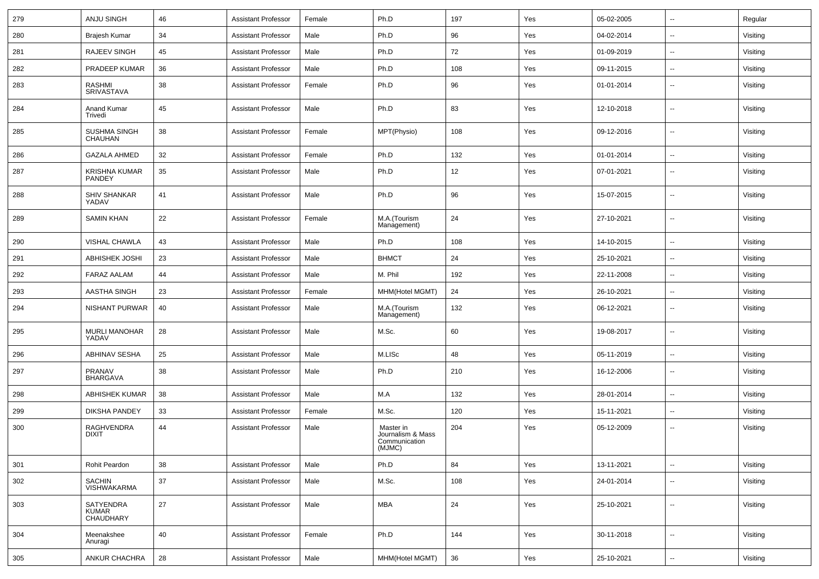| 279 | <b>ANJU SINGH</b>                      | 46 | <b>Assistant Professor</b> | Female | Ph.D                                                      | 197 | Yes | 05-02-2005 | $\sim$                   | Regular  |
|-----|----------------------------------------|----|----------------------------|--------|-----------------------------------------------------------|-----|-----|------------|--------------------------|----------|
| 280 | Brajesh Kumar                          | 34 | <b>Assistant Professor</b> | Male   | Ph.D                                                      | 96  | Yes | 04-02-2014 | ⊷.                       | Visiting |
| 281 | RAJEEV SINGH                           | 45 | <b>Assistant Professor</b> | Male   | Ph.D                                                      | 72  | Yes | 01-09-2019 | $\overline{\phantom{a}}$ | Visiting |
| 282 | PRADEEP KUMAR                          | 36 | <b>Assistant Professor</b> | Male   | Ph.D                                                      | 108 | Yes | 09-11-2015 | $\overline{\phantom{a}}$ | Visiting |
| 283 | <b>RASHMI</b><br>SRIVASTAVA            | 38 | <b>Assistant Professor</b> | Female | Ph.D                                                      | 96  | Yes | 01-01-2014 | $\overline{\phantom{a}}$ | Visiting |
| 284 | Anand Kumar<br>Trivedi                 | 45 | <b>Assistant Professor</b> | Male   | Ph.D                                                      | 83  | Yes | 12-10-2018 | $\overline{\phantom{a}}$ | Visiting |
| 285 | SUSHMA SINGH<br>CHAUHAN                | 38 | <b>Assistant Professor</b> | Female | MPT(Physio)                                               | 108 | Yes | 09-12-2016 | --                       | Visiting |
| 286 | <b>GAZALA AHMED</b>                    | 32 | <b>Assistant Professor</b> | Female | Ph.D                                                      | 132 | Yes | 01-01-2014 | $\overline{\phantom{a}}$ | Visiting |
| 287 | <b>KRISHNA KUMAR</b><br>PANDEY         | 35 | <b>Assistant Professor</b> | Male   | Ph.D                                                      | 12  | Yes | 07-01-2021 | $\overline{\phantom{a}}$ | Visiting |
| 288 | <b>SHIV SHANKAR</b><br>YADAV           | 41 | <b>Assistant Professor</b> | Male   | Ph.D                                                      | 96  | Yes | 15-07-2015 | $\sim$                   | Visiting |
| 289 | <b>SAMIN KHAN</b>                      | 22 | <b>Assistant Professor</b> | Female | M.A.(Tourism<br>Management)                               | 24  | Yes | 27-10-2021 | $\overline{\phantom{a}}$ | Visiting |
| 290 | VISHAL CHAWLA                          | 43 | <b>Assistant Professor</b> | Male   | Ph.D                                                      | 108 | Yes | 14-10-2015 | $\sim$                   | Visiting |
| 291 | <b>ABHISHEK JOSHI</b>                  | 23 | <b>Assistant Professor</b> | Male   | <b>BHMCT</b>                                              | 24  | Yes | 25-10-2021 | $\sim$                   | Visiting |
| 292 | <b>FARAZ AALAM</b>                     | 44 | <b>Assistant Professor</b> | Male   | M. Phil                                                   | 192 | Yes | 22-11-2008 | $\sim$                   | Visiting |
| 293 | <b>AASTHA SINGH</b>                    | 23 | <b>Assistant Professor</b> | Female | MHM(Hotel MGMT)                                           | 24  | Yes | 26-10-2021 | $\overline{\phantom{a}}$ | Visiting |
| 294 | <b>NISHANT PURWAR</b>                  | 40 | <b>Assistant Professor</b> | Male   | M.A.(Tourism<br>Management)                               | 132 | Yes | 06-12-2021 | $\overline{\phantom{a}}$ | Visiting |
| 295 | <b>MURLI MANOHAR</b><br>YADAV          | 28 | <b>Assistant Professor</b> | Male   | M.Sc.                                                     | 60  | Yes | 19-08-2017 | $\overline{\phantom{a}}$ | Visiting |
| 296 | <b>ABHINAV SESHA</b>                   | 25 | <b>Assistant Professor</b> | Male   | M.LISc                                                    | 48  | Yes | 05-11-2019 | $\overline{\phantom{a}}$ | Visiting |
| 297 | PRANAV<br><b>BHARGAVA</b>              | 38 | <b>Assistant Professor</b> | Male   | Ph.D                                                      | 210 | Yes | 16-12-2006 | --                       | Visiting |
| 298 | <b>ABHISHEK KUMAR</b>                  | 38 | <b>Assistant Professor</b> | Male   | M.A                                                       | 132 | Yes | 28-01-2014 | $\overline{\phantom{a}}$ | Visiting |
| 299 | <b>DIKSHA PANDEY</b>                   | 33 | <b>Assistant Professor</b> | Female | M.Sc.                                                     | 120 | Yes | 15-11-2021 | $\sim$                   | Visiting |
| 300 | <b>RAGHVENDRA</b><br><b>DIXIT</b>      | 44 | <b>Assistant Professor</b> | Male   | Master in<br>Journalism & Mass<br>Communication<br>(MJMC) | 204 | Yes | 05-12-2009 | --                       | Visiting |
| 301 | Rohit Peardon                          | 38 | <b>Assistant Professor</b> | Male   | Ph.D                                                      | 84  | Yes | 13-11-2021 | $\sim$                   | Visiting |
| 302 | <b>SACHIN</b><br><b>VISHWAKARMA</b>    | 37 | <b>Assistant Professor</b> | Male   | M.Sc.                                                     | 108 | Yes | 24-01-2014 | Щ,                       | Visiting |
| 303 | SATYENDRA<br><b>KUMAR</b><br>CHAUDHARY | 27 | <b>Assistant Professor</b> | Male   | <b>MBA</b>                                                | 24  | Yes | 25-10-2021 | Ξ.                       | Visiting |
| 304 | Meenakshee<br>Anuragi                  | 40 | <b>Assistant Professor</b> | Female | Ph.D                                                      | 144 | Yes | 30-11-2018 | $\overline{\phantom{a}}$ | Visiting |
| 305 | ANKUR CHACHRA                          | 28 | <b>Assistant Professor</b> | Male   | MHM(Hotel MGMT)                                           | 36  | Yes | 25-10-2021 | $\sim$                   | Visiting |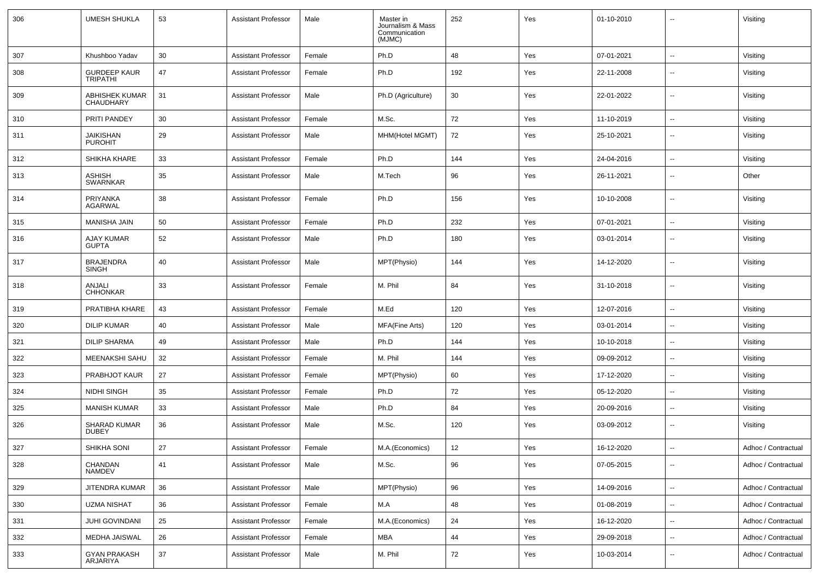| 306 | <b>UMESH SHUKLA</b>                    | 53 | <b>Assistant Professor</b> | Male   | Master in<br>Journalism & Mass<br>Communication<br>(MJMC) | 252 | Yes | 01-10-2010 | --                       | Visiting            |
|-----|----------------------------------------|----|----------------------------|--------|-----------------------------------------------------------|-----|-----|------------|--------------------------|---------------------|
| 307 | Khushboo Yadav                         | 30 | <b>Assistant Professor</b> | Female | Ph.D                                                      | 48  | Yes | 07-01-2021 | $\overline{\phantom{a}}$ | Visiting            |
| 308 | <b>GURDEEP KAUR</b><br><b>TRIPATHI</b> | 47 | <b>Assistant Professor</b> | Female | Ph.D                                                      | 192 | Yes | 22-11-2008 | --                       | Visiting            |
| 309 | ABHISHEK KUMAR<br><b>CHAUDHARY</b>     | 31 | <b>Assistant Professor</b> | Male   | Ph.D (Agriculture)                                        | 30  | Yes | 22-01-2022 | $\overline{\phantom{a}}$ | Visiting            |
| 310 | PRITI PANDEY                           | 30 | <b>Assistant Professor</b> | Female | M.Sc.                                                     | 72  | Yes | 11-10-2019 | $\sim$                   | Visiting            |
| 311 | <b>JAIKISHAN</b><br><b>PUROHIT</b>     | 29 | <b>Assistant Professor</b> | Male   | MHM(Hotel MGMT)                                           | 72  | Yes | 25-10-2021 | ⊷.                       | Visiting            |
| 312 | SHIKHA KHARE                           | 33 | <b>Assistant Professor</b> | Female | Ph.D                                                      | 144 | Yes | 24-04-2016 | ⊷.                       | Visiting            |
| 313 | ASHISH<br><b>SWARNKAR</b>              | 35 | <b>Assistant Professor</b> | Male   | M.Tech                                                    | 96  | Yes | 26-11-2021 | $\overline{\phantom{a}}$ | Other               |
| 314 | PRIYANKA<br><b>AGARWAL</b>             | 38 | <b>Assistant Professor</b> | Female | Ph.D                                                      | 156 | Yes | 10-10-2008 | $\overline{\phantom{a}}$ | Visiting            |
| 315 | MANISHA JAIN                           | 50 | <b>Assistant Professor</b> | Female | Ph.D                                                      | 232 | Yes | 07-01-2021 | $\overline{\phantom{a}}$ | Visiting            |
| 316 | <b>AJAY KUMAR</b><br><b>GUPTA</b>      | 52 | <b>Assistant Professor</b> | Male   | Ph.D                                                      | 180 | Yes | 03-01-2014 | $\overline{\phantom{a}}$ | Visiting            |
| 317 | <b>BRAJENDRA</b><br>SINGH              | 40 | <b>Assistant Professor</b> | Male   | MPT(Physio)                                               | 144 | Yes | 14-12-2020 | $\overline{\phantom{a}}$ | Visiting            |
| 318 | ANJALI<br><b>CHHONKAR</b>              | 33 | <b>Assistant Professor</b> | Female | M. Phil                                                   | 84  | Yes | 31-10-2018 | $\overline{\phantom{a}}$ | Visiting            |
| 319 | PRATIBHA KHARE                         | 43 | <b>Assistant Professor</b> | Female | M.Ed                                                      | 120 | Yes | 12-07-2016 | $\overline{\phantom{a}}$ | Visiting            |
| 320 | <b>DILIP KUMAR</b>                     | 40 | <b>Assistant Professor</b> | Male   | <b>MFA(Fine Arts)</b>                                     | 120 | Yes | 03-01-2014 | --                       | Visiting            |
| 321 | <b>DILIP SHARMA</b>                    | 49 | <b>Assistant Professor</b> | Male   | Ph.D                                                      | 144 | Yes | 10-10-2018 | $\overline{\phantom{a}}$ | Visiting            |
| 322 | MEENAKSHI SAHU                         | 32 | <b>Assistant Professor</b> | Female | M. Phil                                                   | 144 | Yes | 09-09-2012 | $\overline{\phantom{a}}$ | Visiting            |
| 323 | PRABHJOT KAUR                          | 27 | <b>Assistant Professor</b> | Female | MPT(Physio)                                               | 60  | Yes | 17-12-2020 | ⊷.                       | Visiting            |
| 324 | NIDHI SINGH                            | 35 | <b>Assistant Professor</b> | Female | Ph.D                                                      | 72  | Yes | 05-12-2020 | $\overline{\phantom{a}}$ | Visiting            |
| 325 | <b>MANISH KUMAR</b>                    | 33 | <b>Assistant Professor</b> | Male   | Ph.D                                                      | 84  | Yes | 20-09-2016 | $\overline{\phantom{a}}$ | Visiting            |
| 326 | <b>SHARAD KUMAR</b><br><b>DUBEY</b>    | 36 | <b>Assistant Professor</b> | Male   | M.Sc.                                                     | 120 | Yes | 03-09-2012 | --                       | Visiting            |
| 327 | SHIKHA SONI                            | 27 | Assistant Professor        | Female | M.A.(Economics)                                           | 12  | Yes | 16-12-2020 | --                       | Adhoc / Contractual |
| 328 | CHANDAN<br>NAMDEV                      | 41 | <b>Assistant Professor</b> | Male   | M.Sc.                                                     | 96  | Yes | 07-05-2015 | н.                       | Adhoc / Contractual |
| 329 | JITENDRA KUMAR                         | 36 | <b>Assistant Professor</b> | Male   | MPT(Physio)                                               | 96  | Yes | 14-09-2016 | $\sim$                   | Adhoc / Contractual |
| 330 | <b>UZMA NISHAT</b>                     | 36 | <b>Assistant Professor</b> | Female | M.A                                                       | 48  | Yes | 01-08-2019 | $\sim$                   | Adhoc / Contractual |
| 331 | <b>JUHI GOVINDANI</b>                  | 25 | <b>Assistant Professor</b> | Female | M.A.(Economics)                                           | 24  | Yes | 16-12-2020 | $\sim$                   | Adhoc / Contractual |
| 332 | MEDHA JAISWAL                          | 26 | <b>Assistant Professor</b> | Female | MBA                                                       | 44  | Yes | 29-09-2018 | $\sim$                   | Adhoc / Contractual |
| 333 | GYAN PRAKASH<br>ARJARIYA               | 37 | <b>Assistant Professor</b> | Male   | M. Phil                                                   | 72  | Yes | 10-03-2014 | --                       | Adhoc / Contractual |